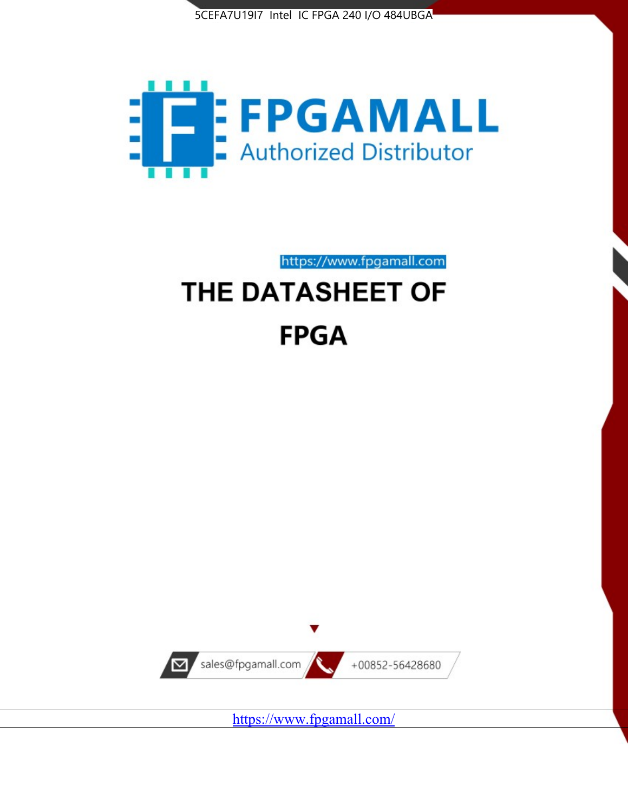



https://www.fpgamall.com

# THE DATASHEET OF **FPGA**



<https://www.fpgamall.com/>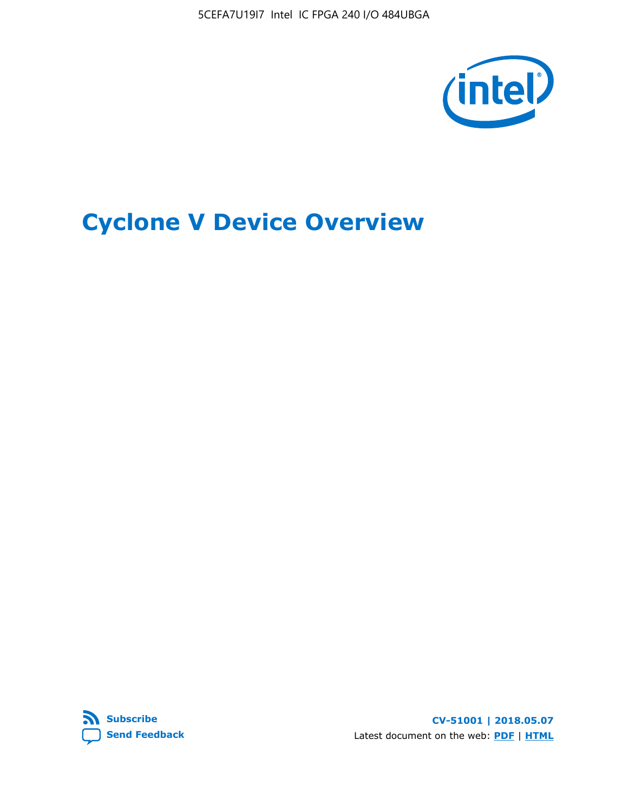5CEFA7U19I7 Intel IC FPGA 240 I/O 484UBGA



# **Cyclone V Device Overview**



**CV-51001 | 2018.05.07** Latest document on the web: **[PDF](https://www.altera.com/en_US/pdfs/literature/hb/cyclone-v/cv_51001.pdf)** | **[HTML](https://www.altera.com/documentation/sam1403480548153.html)**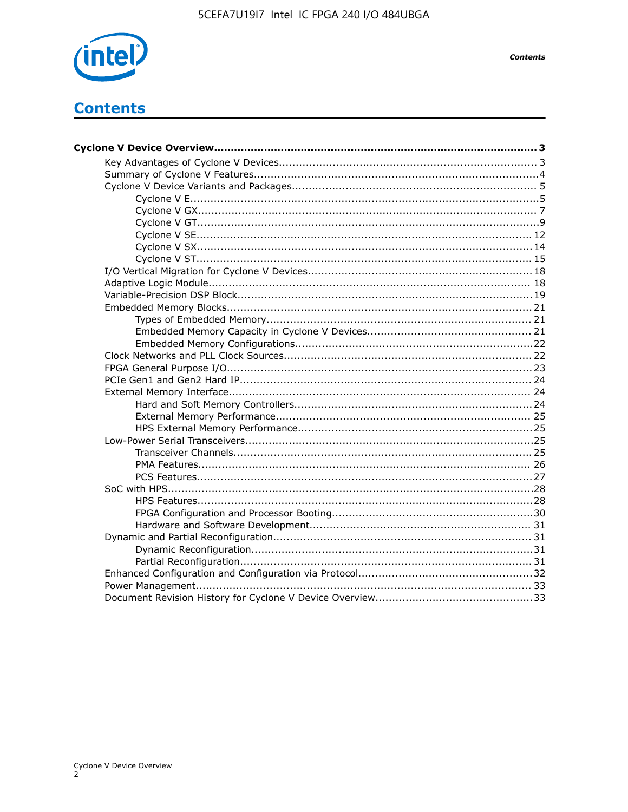

# **Contents**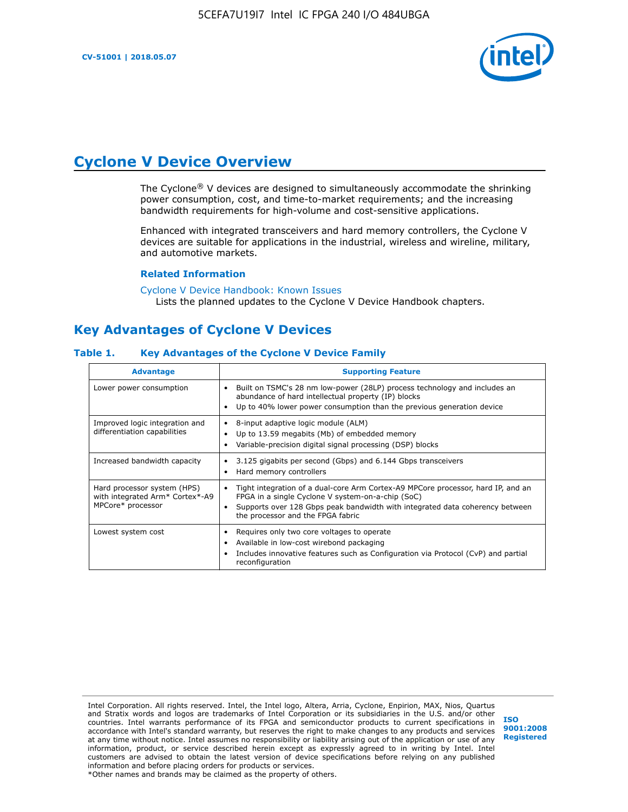

# **Cyclone V Device Overview**

The Cyclone® V devices are designed to simultaneously accommodate the shrinking power consumption, cost, and time-to-market requirements; and the increasing bandwidth requirements for high-volume and cost-sensitive applications.

Enhanced with integrated transceivers and hard memory controllers, the Cyclone V devices are suitable for applications in the industrial, wireless and wireline, military, and automotive markets.

#### **Related Information**

[Cyclone V Device Handbook: Known Issues](https://www.altera.com/support/support-resources/knowledge-base/solutions/rd12152011_347.html) Lists the planned updates to the Cyclone V Device Handbook chapters.

# **Key Advantages of Cyclone V Devices**

#### **Table 1. Key Advantages of the Cyclone V Device Family**

| <b>Advantage</b>                                                                    | <b>Supporting Feature</b>                                                                                                                                                                                                                                                    |
|-------------------------------------------------------------------------------------|------------------------------------------------------------------------------------------------------------------------------------------------------------------------------------------------------------------------------------------------------------------------------|
| Lower power consumption                                                             | Built on TSMC's 28 nm low-power (28LP) process technology and includes an<br>$\bullet$<br>abundance of hard intellectual property (IP) blocks<br>Up to 40% lower power consumption than the previous generation device                                                       |
| Improved logic integration and<br>differentiation capabilities                      | 8-input adaptive logic module (ALM)<br>٠<br>Up to 13.59 megabits (Mb) of embedded memory<br>٠<br>Variable-precision digital signal processing (DSP) blocks                                                                                                                   |
| Increased bandwidth capacity                                                        | 3.125 gigabits per second (Gbps) and 6.144 Gbps transceivers<br>٠<br>Hard memory controllers<br>٠                                                                                                                                                                            |
| Hard processor system (HPS)<br>with integrated Arm* Cortex*-A9<br>MPCore* processor | Tight integration of a dual-core Arm Cortex-A9 MPCore processor, hard IP, and an<br>$\bullet$<br>FPGA in a single Cyclone V system-on-a-chip (SoC)<br>Supports over 128 Gbps peak bandwidth with integrated data coherency between<br>٠<br>the processor and the FPGA fabric |
| Lowest system cost                                                                  | Requires only two core voltages to operate<br>٠<br>Available in low-cost wirebond packaging<br>٠<br>Includes innovative features such as Configuration via Protocol (CvP) and partial<br>٠<br>reconfiguration                                                                |

Intel Corporation. All rights reserved. Intel, the Intel logo, Altera, Arria, Cyclone, Enpirion, MAX, Nios, Quartus and Stratix words and logos are trademarks of Intel Corporation or its subsidiaries in the U.S. and/or other countries. Intel warrants performance of its FPGA and semiconductor products to current specifications in accordance with Intel's standard warranty, but reserves the right to make changes to any products and services at any time without notice. Intel assumes no responsibility or liability arising out of the application or use of any information, product, or service described herein except as expressly agreed to in writing by Intel. Intel customers are advised to obtain the latest version of device specifications before relying on any published information and before placing orders for products or services. \*Other names and brands may be claimed as the property of others.

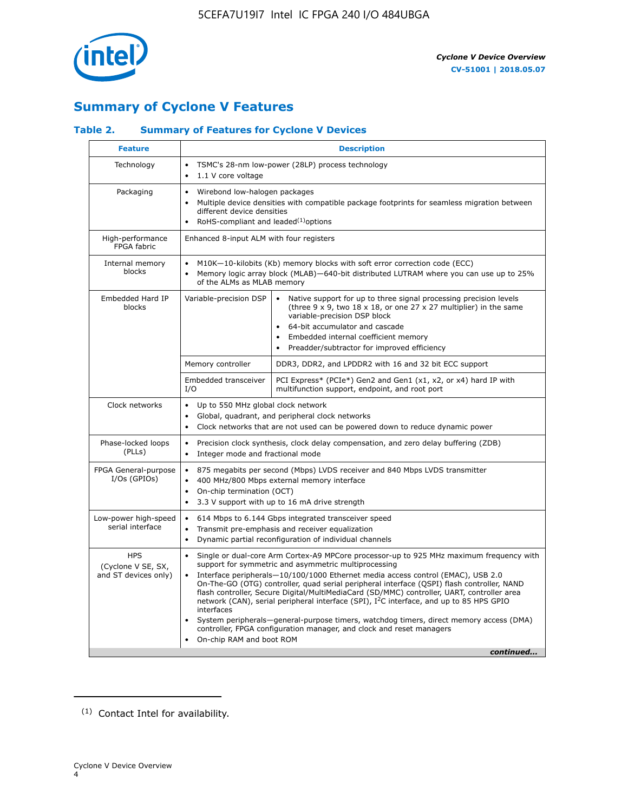

# **Summary of Cyclone V Features**

## **Table 2. Summary of Features for Cyclone V Devices**

| <b>Feature</b>                                           | <b>Description</b>                                                                                                                                                                                                                                                                                                                        |                                                                                                                                                                                                                                                                                                                                                                                                                                                                                                                                                                                                                                                                                                         |  |  |  |  |  |  |
|----------------------------------------------------------|-------------------------------------------------------------------------------------------------------------------------------------------------------------------------------------------------------------------------------------------------------------------------------------------------------------------------------------------|---------------------------------------------------------------------------------------------------------------------------------------------------------------------------------------------------------------------------------------------------------------------------------------------------------------------------------------------------------------------------------------------------------------------------------------------------------------------------------------------------------------------------------------------------------------------------------------------------------------------------------------------------------------------------------------------------------|--|--|--|--|--|--|
| Technology                                               | TSMC's 28-nm low-power (28LP) process technology<br>$\bullet$<br>1.1 V core voltage<br>$\bullet$                                                                                                                                                                                                                                          |                                                                                                                                                                                                                                                                                                                                                                                                                                                                                                                                                                                                                                                                                                         |  |  |  |  |  |  |
| Packaging                                                | $\bullet$                                                                                                                                                                                                                                                                                                                                 | Wirebond low-halogen packages<br>Multiple device densities with compatible package footprints for seamless migration between<br>different device densities<br>RoHS-compliant and leaded $(1)$ options                                                                                                                                                                                                                                                                                                                                                                                                                                                                                                   |  |  |  |  |  |  |
| High-performance<br>FPGA fabric                          | Enhanced 8-input ALM with four registers                                                                                                                                                                                                                                                                                                  |                                                                                                                                                                                                                                                                                                                                                                                                                                                                                                                                                                                                                                                                                                         |  |  |  |  |  |  |
| Internal memory<br>blocks                                | of the ALMs as MLAB memory                                                                                                                                                                                                                                                                                                                | M10K-10-kilobits (Kb) memory blocks with soft error correction code (ECC)<br>Memory logic array block (MLAB)-640-bit distributed LUTRAM where you can use up to 25%                                                                                                                                                                                                                                                                                                                                                                                                                                                                                                                                     |  |  |  |  |  |  |
| Embedded Hard IP<br>blocks                               | Variable-precision DSP<br>Native support for up to three signal processing precision levels<br>(three $9 \times 9$ , two $18 \times 18$ , or one 27 x 27 multiplier) in the same<br>variable-precision DSP block<br>64-bit accumulator and cascade<br>Embedded internal coefficient memory<br>Preadder/subtractor for improved efficiency |                                                                                                                                                                                                                                                                                                                                                                                                                                                                                                                                                                                                                                                                                                         |  |  |  |  |  |  |
|                                                          | Memory controller                                                                                                                                                                                                                                                                                                                         | DDR3, DDR2, and LPDDR2 with 16 and 32 bit ECC support                                                                                                                                                                                                                                                                                                                                                                                                                                                                                                                                                                                                                                                   |  |  |  |  |  |  |
|                                                          | Embedded transceiver<br>I/O                                                                                                                                                                                                                                                                                                               | PCI Express* (PCIe*) Gen2 and Gen1 (x1, x2, or x4) hard IP with<br>multifunction support, endpoint, and root port                                                                                                                                                                                                                                                                                                                                                                                                                                                                                                                                                                                       |  |  |  |  |  |  |
| Clock networks                                           | Up to 550 MHz global clock network<br>$\bullet$<br>$\bullet$                                                                                                                                                                                                                                                                              | Global, quadrant, and peripheral clock networks<br>Clock networks that are not used can be powered down to reduce dynamic power                                                                                                                                                                                                                                                                                                                                                                                                                                                                                                                                                                         |  |  |  |  |  |  |
| Phase-locked loops<br>(PLLs)                             | $\bullet$<br>Integer mode and fractional mode<br>$\bullet$                                                                                                                                                                                                                                                                                | Precision clock synthesis, clock delay compensation, and zero delay buffering (ZDB)                                                                                                                                                                                                                                                                                                                                                                                                                                                                                                                                                                                                                     |  |  |  |  |  |  |
| FPGA General-purpose<br>$I/Os$ (GPIOs)                   | $\bullet$<br>$\bullet$<br>On-chip termination (OCT)<br>$\bullet$                                                                                                                                                                                                                                                                          | 875 megabits per second (Mbps) LVDS receiver and 840 Mbps LVDS transmitter<br>400 MHz/800 Mbps external memory interface<br>3.3 V support with up to 16 mA drive strength                                                                                                                                                                                                                                                                                                                                                                                                                                                                                                                               |  |  |  |  |  |  |
| Low-power high-speed<br>serial interface                 | 614 Mbps to 6.144 Gbps integrated transceiver speed<br>$\bullet$<br>Transmit pre-emphasis and receiver equalization<br>$\bullet$<br>Dynamic partial reconfiguration of individual channels<br>$\bullet$                                                                                                                                   |                                                                                                                                                                                                                                                                                                                                                                                                                                                                                                                                                                                                                                                                                                         |  |  |  |  |  |  |
| <b>HPS</b><br>(Cyclone V SE, SX,<br>and ST devices only) | $\bullet$<br>$\bullet$<br>interfaces<br>On-chip RAM and boot ROM                                                                                                                                                                                                                                                                          | Single or dual-core Arm Cortex-A9 MPCore processor-up to 925 MHz maximum frequency with<br>support for symmetric and asymmetric multiprocessing<br>Interface peripherals-10/100/1000 Ethernet media access control (EMAC), USB 2.0<br>On-The-GO (OTG) controller, quad serial peripheral interface (QSPI) flash controller, NAND<br>flash controller, Secure Digital/MultiMediaCard (SD/MMC) controller, UART, controller area<br>network (CAN), serial peripheral interface (SPI), I <sup>2</sup> C interface, and up to 85 HPS GPIO<br>System peripherals—general-purpose timers, watchdog timers, direct memory access (DMA)<br>controller, FPGA configuration manager, and clock and reset managers |  |  |  |  |  |  |
|                                                          |                                                                                                                                                                                                                                                                                                                                           | continued                                                                                                                                                                                                                                                                                                                                                                                                                                                                                                                                                                                                                                                                                               |  |  |  |  |  |  |

<sup>(1)</sup> Contact Intel for availability.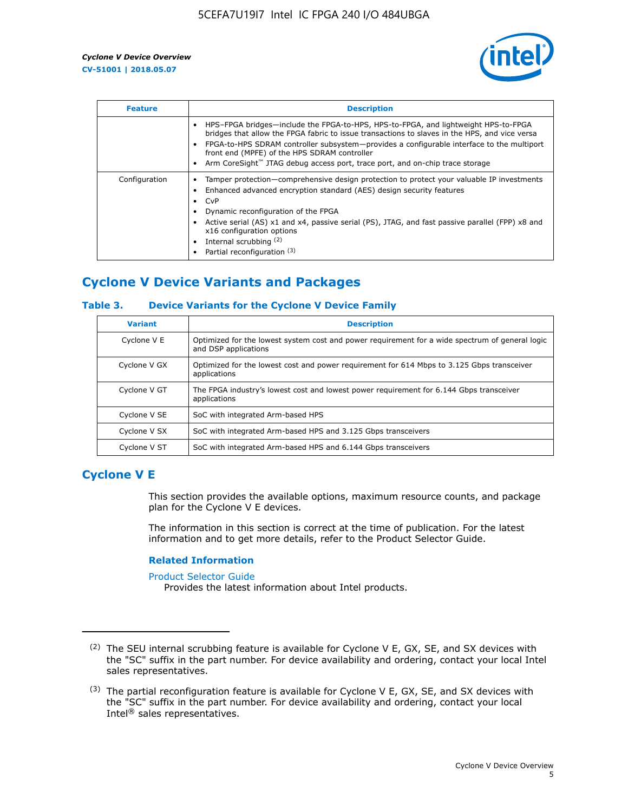

| <b>Feature</b> | <b>Description</b>                                                                                                                                                                                                                                                                                                                                                                                                    |
|----------------|-----------------------------------------------------------------------------------------------------------------------------------------------------------------------------------------------------------------------------------------------------------------------------------------------------------------------------------------------------------------------------------------------------------------------|
|                | HPS-FPGA bridges—include the FPGA-to-HPS, HPS-to-FPGA, and lightweight HPS-to-FPGA<br>bridges that allow the FPGA fabric to issue transactions to slaves in the HPS, and vice versa<br>FPGA-to-HPS SDRAM controller subsystem-provides a configurable interface to the multiport<br>front end (MPFE) of the HPS SDRAM controller<br>Arm CoreSight™ JTAG debug access port, trace port, and on-chip trace storage      |
| Configuration  | Tamper protection—comprehensive design protection to protect your valuable IP investments<br>Enhanced advanced encryption standard (AES) design security features<br>CvP<br>$\bullet$<br>Dynamic reconfiguration of the FPGA<br>Active serial (AS) x1 and x4, passive serial (PS), JTAG, and fast passive parallel (FPP) x8 and<br>x16 configuration options<br>Internal scrubbing (2)<br>Partial reconfiguration (3) |

# **Cyclone V Device Variants and Packages**

#### **Table 3. Device Variants for the Cyclone V Device Family**

| <b>Variant</b> | <b>Description</b>                                                                                                      |
|----------------|-------------------------------------------------------------------------------------------------------------------------|
| Cyclone V E    | Optimized for the lowest system cost and power requirement for a wide spectrum of general logic<br>and DSP applications |
| Cyclone V GX   | Optimized for the lowest cost and power requirement for 614 Mbps to 3.125 Gbps transceiver<br>applications              |
| Cyclone V GT   | The FPGA industry's lowest cost and lowest power requirement for 6.144 Gbps transceiver<br>applications                 |
| Cyclone V SE   | SoC with integrated Arm-based HPS                                                                                       |
| Cyclone V SX   | SoC with integrated Arm-based HPS and 3.125 Gbps transceivers                                                           |
| Cyclone V ST   | SoC with integrated Arm-based HPS and 6.144 Gbps transceivers                                                           |

# **Cyclone V E**

This section provides the available options, maximum resource counts, and package plan for the Cyclone V E devices.

The information in this section is correct at the time of publication. For the latest information and to get more details, refer to the Product Selector Guide.

#### **Related Information**

[Product Selector Guide](https://www.altera.com/products/product-selector-guide.html)

Provides the latest information about Intel products.

<sup>(2)</sup> The SEU internal scrubbing feature is available for Cyclone V E, GX, SE, and SX devices with the "SC" suffix in the part number. For device availability and ordering, contact your local Intel sales representatives.

 $(3)$  The partial reconfiguration feature is available for Cyclone V E, GX, SE, and SX devices with the "SC" suffix in the part number. For device availability and ordering, contact your local Intel® sales representatives.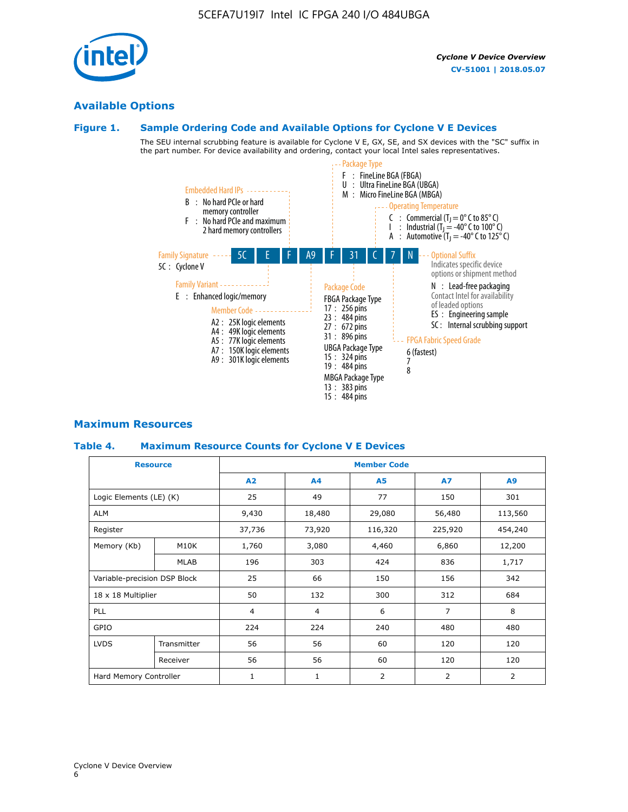# **Available Options**

#### **Figure 1. Sample Ordering Code and Available Options for Cyclone V E Devices**

The SEU internal scrubbing feature is available for Cyclone V E, GX, SE, and SX devices with the "SC" suffix in the part number. For device availability and ordering, contact your local Intel sales representatives.



## **Maximum Resources**

#### **Table 4. Maximum Resource Counts for Cyclone V E Devices**

| <b>Resource</b>              |             | <b>Member Code</b> |                |                |                |         |  |  |
|------------------------------|-------------|--------------------|----------------|----------------|----------------|---------|--|--|
|                              |             | A2                 | A <sub>4</sub> | <b>A5</b>      | <b>A7</b>      | A9      |  |  |
| Logic Elements (LE) (K)      |             | 25                 | 49             | 77             | 150            | 301     |  |  |
| <b>ALM</b>                   |             | 9,430              | 18,480         | 29,080         | 56,480         | 113,560 |  |  |
| Register                     |             | 37,736             | 73,920         | 116,320        | 225,920        | 454,240 |  |  |
| Memory (Kb)                  | M10K        | 1,760              | 3,080          | 4,460          | 6,860          | 12,200  |  |  |
|                              | MLAB        | 196                | 303            | 424            | 836            | 1,717   |  |  |
| Variable-precision DSP Block |             | 25                 | 66             | 150            | 156            | 342     |  |  |
| 18 x 18 Multiplier           |             | 50                 | 132            | 300            | 312            | 684     |  |  |
| PLL                          |             | $\overline{4}$     | 4              | 6              | $\overline{7}$ | 8       |  |  |
| GPIO                         |             |                    | 224            | 240            | 480            | 480     |  |  |
| <b>LVDS</b>                  | Transmitter | 56                 | 56             | 60             | 120            | 120     |  |  |
|                              | Receiver    | 56                 | 56             | 60             | 120            | 120     |  |  |
| Hard Memory Controller       |             | $\mathbf{1}$       | $\mathbf{1}$   | $\overline{2}$ | $\overline{2}$ | 2       |  |  |

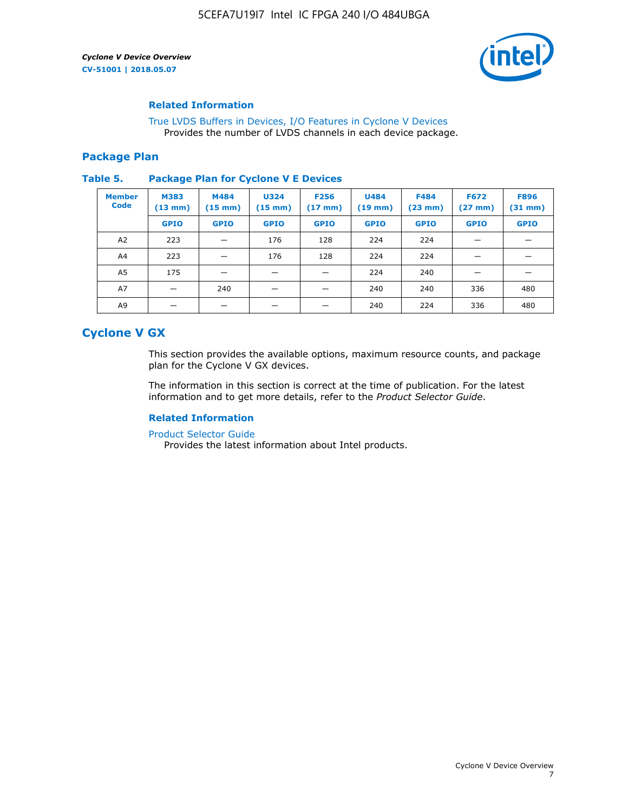

#### **Related Information**

[True LVDS Buffers in Devices, I/O Features in Cyclone V Devices](https://www.altera.com/documentation/sam1403481100977.html#sam1403480885395) Provides the number of LVDS channels in each device package.

#### **Package Plan**

#### **Table 5. Package Plan for Cyclone V E Devices**

| <b>Member</b><br><b>Code</b> | <b>M383</b><br>$(13 \text{ mm})$ | M484<br>$(15 \text{ mm})$ | <b>U324</b><br>$(15 \text{ mm})$ | <b>F256</b><br>$(17 \text{ mm})$ | <b>U484</b><br>$(19$ mm) | <b>F484</b><br>$(23$ mm $)$ | <b>F672</b><br>$(27 \, \text{mm})$ | <b>F896</b><br>$(31 \text{ mm})$ |
|------------------------------|----------------------------------|---------------------------|----------------------------------|----------------------------------|--------------------------|-----------------------------|------------------------------------|----------------------------------|
|                              | <b>GPIO</b>                      | <b>GPIO</b>               | <b>GPIO</b>                      | <b>GPIO</b>                      | <b>GPIO</b>              | <b>GPIO</b>                 | <b>GPIO</b>                        | <b>GPIO</b>                      |
| A2                           | 223                              |                           | 176                              | 128                              | 224                      | 224                         |                                    |                                  |
| A4                           | 223                              |                           | 176                              | 128                              | 224                      | 224                         |                                    |                                  |
| A <sub>5</sub>               | 175                              |                           |                                  |                                  | 224                      | 240                         |                                    |                                  |
| A7                           |                                  | 240                       |                                  |                                  | 240                      | 240                         | 336                                | 480                              |
| A9                           |                                  |                           |                                  |                                  | 240                      | 224                         | 336                                | 480                              |

# **Cyclone V GX**

This section provides the available options, maximum resource counts, and package plan for the Cyclone V GX devices.

The information in this section is correct at the time of publication. For the latest information and to get more details, refer to the *Product Selector Guide*.

#### **Related Information**

[Product Selector Guide](https://www.altera.com/products/product-selector-guide.html)

Provides the latest information about Intel products.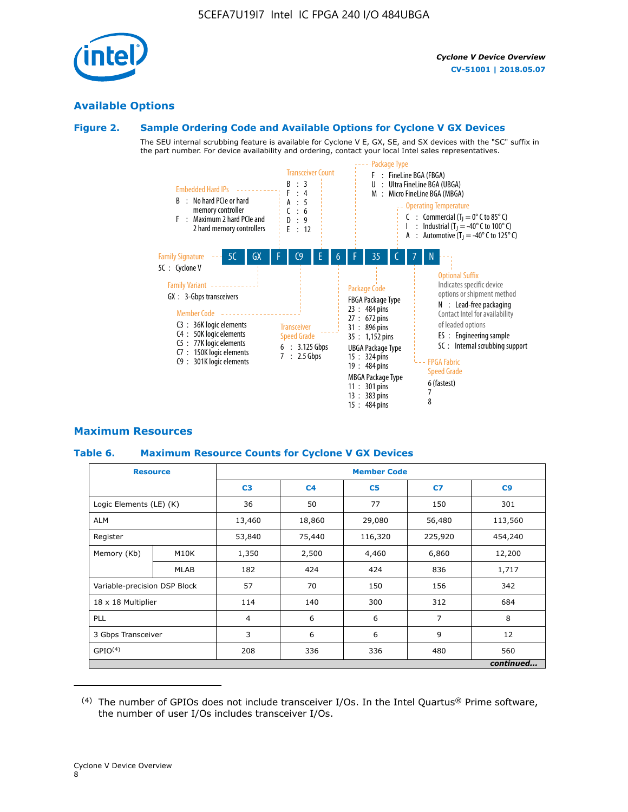

# **Available Options**

# **Figure 2. Sample Ordering Code and Available Options for Cyclone V GX Devices**

The SEU internal scrubbing feature is available for Cyclone V E, GX, SE, and SX devices with the "SC" suffix in the part number. For device availability and ordering, contact your local Intel sales representatives.



# **Maximum Resources**

#### **Table 6. Maximum Resource Counts for Cyclone V GX Devices**

|                              | <b>Resource</b>   | <b>Member Code</b> |                |                |                |           |  |  |
|------------------------------|-------------------|--------------------|----------------|----------------|----------------|-----------|--|--|
|                              |                   | C <sub>3</sub>     | C <sub>4</sub> | C <sub>5</sub> | C7             | C9        |  |  |
| Logic Elements (LE) (K)      |                   | 36                 | 50             | 77             | 150            | 301       |  |  |
| <b>ALM</b>                   |                   | 13,460             | 18,860         | 29,080         | 56,480         | 113,560   |  |  |
| Register                     |                   | 53,840             | 75,440         | 116,320        | 225,920        | 454,240   |  |  |
| Memory (Kb)                  | M <sub>10</sub> K | 1,350              | 2,500          | 4,460          | 6,860          | 12,200    |  |  |
|                              | <b>MLAB</b>       | 182                | 424            | 424            | 836            | 1,717     |  |  |
| Variable-precision DSP Block |                   | 57                 | 70             | 150            | 156            | 342       |  |  |
| 18 x 18 Multiplier           |                   | 114                | 140            | 300            | 312            | 684       |  |  |
| PLL                          |                   | $\overline{4}$     | 6              | 6              | $\overline{7}$ | 8         |  |  |
| 3 Gbps Transceiver           |                   | 3                  | 6              | 6              | 9              | 12        |  |  |
| GPIO <sup>(4)</sup>          |                   | 208                | 336            | 336            | 480            | 560       |  |  |
|                              |                   |                    |                |                |                | continued |  |  |

 $(4)$  The number of GPIOs does not include transceiver I/Os. In the Intel Quartus® Prime software, the number of user I/Os includes transceiver I/Os.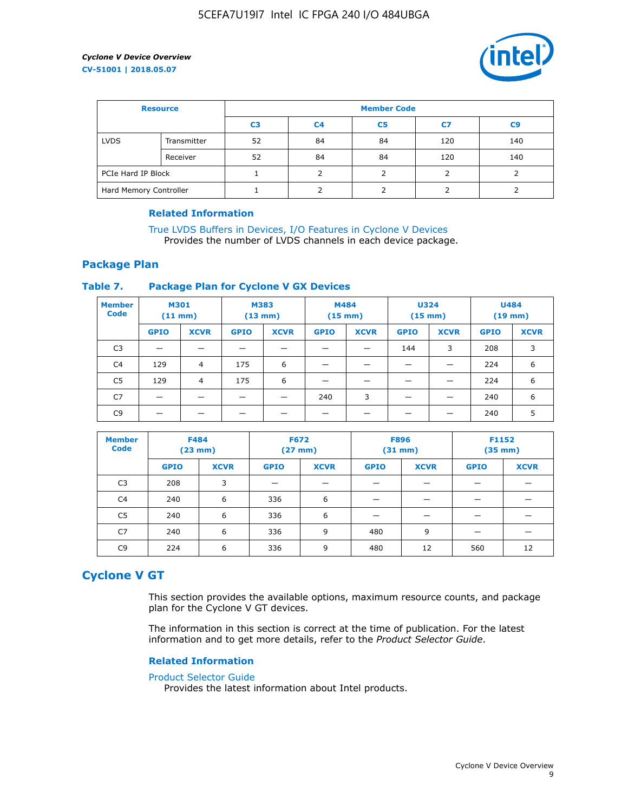

| <b>Resource</b>        |             | <b>Member Code</b> |                |                |     |     |  |  |
|------------------------|-------------|--------------------|----------------|----------------|-----|-----|--|--|
|                        |             | C3                 | C <sub>4</sub> | C <sub>5</sub> | C7  | C9  |  |  |
| <b>LVDS</b>            | Transmitter | 52                 | 84             | 84             | 120 | 140 |  |  |
|                        | Receiver    | 52                 | 84             | 84             | 120 | 140 |  |  |
| PCIe Hard IP Block     |             |                    |                |                |     |     |  |  |
| Hard Memory Controller |             |                    |                |                |     |     |  |  |

#### **Related Information**

[True LVDS Buffers in Devices, I/O Features in Cyclone V Devices](https://www.altera.com/documentation/sam1403481100977.html#sam1403480885395) Provides the number of LVDS channels in each device package.

## **Package Plan**

#### **Table 7. Package Plan for Cyclone V GX Devices**

| <b>Member</b><br><b>Code</b> | <b>M301</b><br>(11 mm)   |             | M383<br>$(13 \text{ mm})$ |             | M484        | $(15 \text{ mm})$ | <b>U324</b><br>$(15 \text{ mm})$ |             | <b>U484</b><br>$(19$ mm) |             |
|------------------------------|--------------------------|-------------|---------------------------|-------------|-------------|-------------------|----------------------------------|-------------|--------------------------|-------------|
|                              | <b>GPIO</b>              | <b>XCVR</b> | <b>GPIO</b>               | <b>XCVR</b> | <b>GPIO</b> | <b>XCVR</b>       | <b>GPIO</b>                      | <b>XCVR</b> | <b>GPIO</b>              | <b>XCVR</b> |
| C <sub>3</sub>               | $\overline{\phantom{0}}$ | _           |                           |             |             |                   | 144                              | 3           | 208                      | 3           |
| C <sub>4</sub>               | 129                      | 4           | 175                       | 6           |             |                   |                                  |             | 224                      | 6           |
| C5                           | 129                      | 4           | 175                       | 6           |             |                   |                                  |             | 224                      | 6           |
| C7                           |                          |             |                           |             | 240         | 3                 |                                  |             | 240                      | 6           |
| C9                           |                          |             |                           |             |             |                   |                                  |             | 240                      | 5           |

| <b>Member</b><br><b>Code</b> | <b>F484</b> | $(23$ mm)   | <b>F672</b> | $(27$ mm $)$ | <b>F896</b><br>$(31 \text{ mm})$ |             | F1152<br>$(35 \text{ mm})$ |             |
|------------------------------|-------------|-------------|-------------|--------------|----------------------------------|-------------|----------------------------|-------------|
|                              | <b>GPIO</b> | <b>XCVR</b> | <b>GPIO</b> | <b>XCVR</b>  | <b>GPIO</b>                      | <b>XCVR</b> | <b>GPIO</b>                | <b>XCVR</b> |
| C <sub>3</sub>               | 208         | 3           |             |              |                                  |             |                            |             |
| C4                           | 240         | 6           | 336         | 6            |                                  |             |                            |             |
| C5                           | 240         | 6           | 336         | 6            |                                  |             |                            |             |
| C7                           | 240         | 6           | 336         | 9            | 480                              | 9           |                            |             |
| C9                           | 224         | 6           | 336         | 9            | 480                              | 12          | 560                        | 12          |

# **Cyclone V GT**

This section provides the available options, maximum resource counts, and package plan for the Cyclone V GT devices.

The information in this section is correct at the time of publication. For the latest information and to get more details, refer to the *Product Selector Guide*.

#### **Related Information**

#### [Product Selector Guide](https://www.altera.com/products/product-selector-guide.html)

Provides the latest information about Intel products.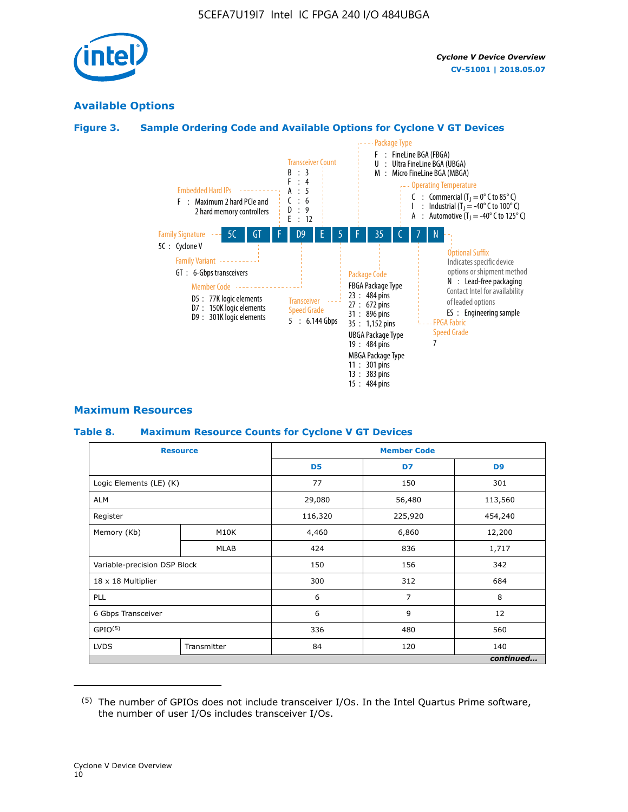

# **Available Options**

## **Figure 3. Sample Ordering Code and Available Options for Cyclone V GT Devices**



#### **Maximum Resources**

#### **Table 8. Maximum Resource Counts for Cyclone V GT Devices**

|                              | <b>Resource</b> | <b>Member Code</b> |         |                |  |  |
|------------------------------|-----------------|--------------------|---------|----------------|--|--|
|                              |                 | D <sub>5</sub>     | D7      | D <sub>9</sub> |  |  |
| Logic Elements (LE) (K)      |                 | 77                 | 150     | 301            |  |  |
| <b>ALM</b>                   |                 | 29,080             | 56,480  | 113,560        |  |  |
| Register                     |                 | 116,320            | 225,920 | 454,240        |  |  |
| Memory (Kb)                  | M10K            | 4,460              | 6,860   | 12,200         |  |  |
|                              | <b>MLAB</b>     | 424                | 836     | 1,717          |  |  |
| Variable-precision DSP Block |                 | 150                | 156     | 342            |  |  |
| 18 x 18 Multiplier           |                 | 300                | 312     | 684            |  |  |
| PLL                          |                 | 6                  | 7       | 8              |  |  |
| 6 Gbps Transceiver           |                 | 6                  | 9       | 12             |  |  |
| GPIO <sup>(5)</sup>          |                 | 336                | 480     | 560            |  |  |
| <b>LVDS</b>                  | Transmitter     | 84                 | 120     | 140            |  |  |
|                              |                 |                    |         | continued      |  |  |

<sup>(5)</sup> The number of GPIOs does not include transceiver I/Os. In the Intel Quartus Prime software, the number of user I/Os includes transceiver I/Os.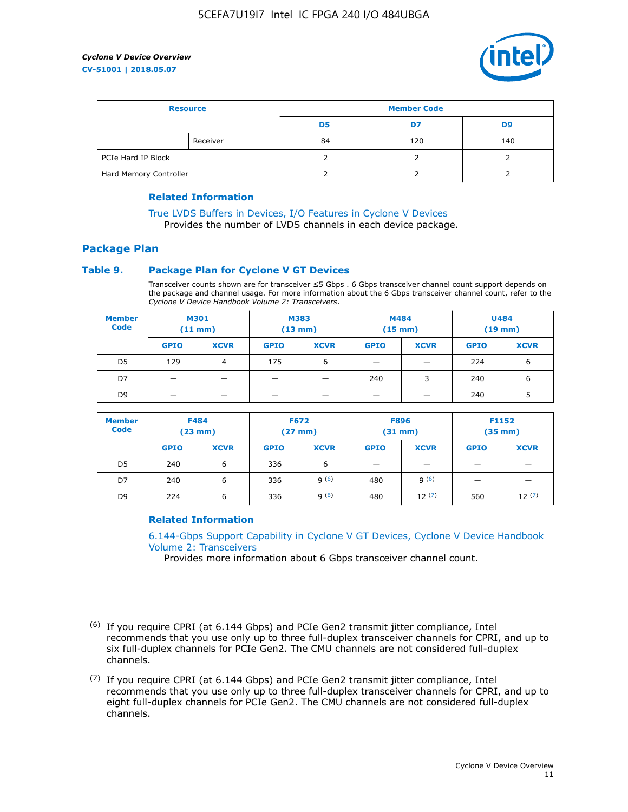

| <b>Resource</b>        |          | <b>Member Code</b> |     |     |  |  |
|------------------------|----------|--------------------|-----|-----|--|--|
|                        |          | D5                 | D7  | D9  |  |  |
|                        | Receiver | 84                 | 120 | 140 |  |  |
| PCIe Hard IP Block     |          |                    |     |     |  |  |
| Hard Memory Controller |          |                    |     |     |  |  |

#### **Related Information**

[True LVDS Buffers in Devices, I/O Features in Cyclone V Devices](https://www.altera.com/documentation/sam1403481100977.html#sam1403480885395) Provides the number of LVDS channels in each device package.

**Package Plan**

#### **Table 9. Package Plan for Cyclone V GT Devices**

Transceiver counts shown are for transceiver ≤5 Gbps . 6 Gbps transceiver channel count support depends on the package and channel usage. For more information about the 6 Gbps transceiver channel count, refer to the *Cyclone V Device Handbook Volume 2: Transceivers*.

| <b>Member</b><br><b>Code</b> | <b>M301</b><br>(11 mm)   |                | M383<br>(13 mm) |             | M484<br>$(15$ mm $)$ |             | <b>U484</b><br>$(19$ mm) |             |
|------------------------------|--------------------------|----------------|-----------------|-------------|----------------------|-------------|--------------------------|-------------|
|                              | <b>GPIO</b>              | <b>XCVR</b>    | <b>GPIO</b>     | <b>XCVR</b> | <b>GPIO</b>          | <b>XCVR</b> | <b>GPIO</b>              | <b>XCVR</b> |
| D <sub>5</sub>               | 129                      | $\overline{4}$ | 175             | 6           | -                    |             | 224                      | 6           |
| D7                           | $\overline{\phantom{0}}$ | _              |                 | -           | 240                  | 3           | 240                      | 6           |
| D <sub>9</sub>               | -                        |                |                 |             | _                    |             | 240                      |             |

| <b>Member</b><br><b>Code</b> | <b>F484</b><br>$(23$ mm $)$ |             | <b>F672</b><br>$(27 \text{ mm})$ |             | <b>F896</b><br>$(31$ mm $)$ |             | F1152<br>$(35$ mm $)$    |             |
|------------------------------|-----------------------------|-------------|----------------------------------|-------------|-----------------------------|-------------|--------------------------|-------------|
|                              | <b>GPIO</b>                 | <b>XCVR</b> | <b>GPIO</b>                      | <b>XCVR</b> | <b>GPIO</b>                 | <b>XCVR</b> | <b>GPIO</b>              | <b>XCVR</b> |
| D <sub>5</sub>               | 240                         | 6           | 336                              | 6           | -                           |             | –                        |             |
| D7                           | 240                         | 6           | 336                              | q(6)        | 480                         | q(6)        | $\overline{\phantom{0}}$ | -           |
| D <sub>9</sub>               | 224                         | 6           | 336                              | q(6)        | 480                         | 12(7)       | 560                      | 12(7)       |

#### **Related Information**

[6.144-Gbps Support Capability in Cyclone V GT Devices, Cyclone V Device Handbook](https://www.altera.com/documentation/nik1409855456781.html#nik1409855410757) [Volume 2: Transceivers](https://www.altera.com/documentation/nik1409855456781.html#nik1409855410757)

Provides more information about 6 Gbps transceiver channel count.

<sup>(6)</sup> If you require CPRI (at 6.144 Gbps) and PCIe Gen2 transmit jitter compliance, Intel recommends that you use only up to three full-duplex transceiver channels for CPRI, and up to six full-duplex channels for PCIe Gen2. The CMU channels are not considered full-duplex channels.

 $(7)$  If you require CPRI (at 6.144 Gbps) and PCIe Gen2 transmit jitter compliance, Intel recommends that you use only up to three full-duplex transceiver channels for CPRI, and up to eight full-duplex channels for PCIe Gen2. The CMU channels are not considered full-duplex channels.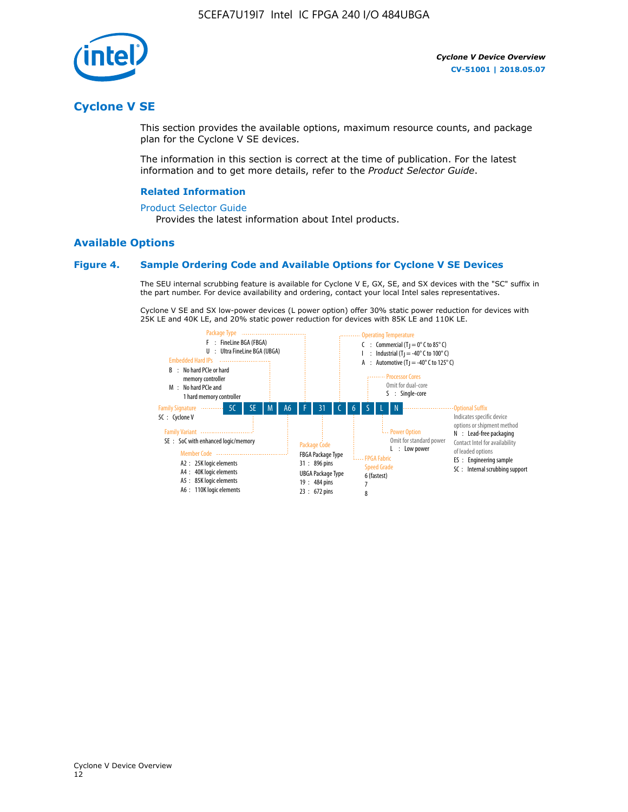

# **Cyclone V SE**

This section provides the available options, maximum resource counts, and package plan for the Cyclone V SE devices.

The information in this section is correct at the time of publication. For the latest information and to get more details, refer to the *Product Selector Guide*.

#### **Related Information**

#### [Product Selector Guide](https://www.altera.com/products/product-selector-guide.html)

Provides the latest information about Intel products.

#### **Available Options**

#### **Figure 4. Sample Ordering Code and Available Options for Cyclone V SE Devices**

The SEU internal scrubbing feature is available for Cyclone V E, GX, SE, and SX devices with the "SC" suffix in the part number. For device availability and ordering, contact your local Intel sales representatives.

Cyclone V SE and SX low-power devices (L power option) offer 30% static power reduction for devices with 25K LE and 40K LE, and 20% static power reduction for devices with 85K LE and 110K LE.

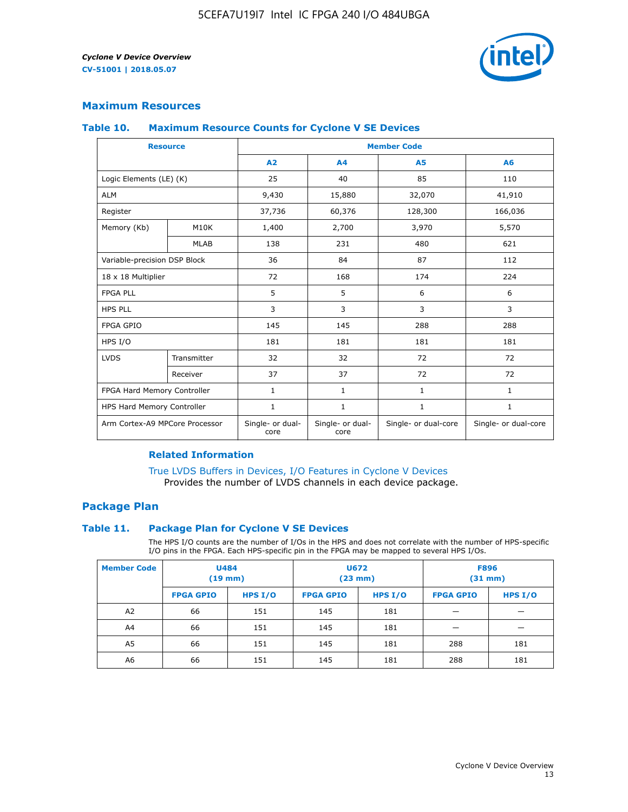

#### **Maximum Resources**

#### **Table 10. Maximum Resource Counts for Cyclone V SE Devices**

|                                | <b>Resource</b>   | <b>Member Code</b>       |                          |                      |                      |  |
|--------------------------------|-------------------|--------------------------|--------------------------|----------------------|----------------------|--|
|                                |                   | A <sub>2</sub>           | A <sub>4</sub>           | <b>A5</b>            | A6                   |  |
| Logic Elements (LE) (K)        |                   | 25                       | 40                       | 85                   | 110                  |  |
| <b>ALM</b>                     |                   | 9,430                    | 15,880                   | 32,070               | 41,910               |  |
| Register                       |                   | 37,736                   | 60,376                   | 128,300              | 166,036              |  |
| Memory (Kb)                    | M <sub>10</sub> K | 1,400                    | 2,700                    | 3,970                | 5,570                |  |
|                                | <b>MLAB</b>       | 138                      | 231                      | 480                  | 621                  |  |
| Variable-precision DSP Block   |                   | 36                       | 84                       | 87                   | 112                  |  |
| 18 x 18 Multiplier             |                   | 72                       | 168                      | 174                  | 224                  |  |
| <b>FPGA PLL</b>                |                   | 5                        | 5                        | 6                    | 6                    |  |
| <b>HPS PLL</b>                 |                   | 3                        | 3                        | 3                    | 3                    |  |
| <b>FPGA GPIO</b>               |                   | 145                      | 145                      | 288                  | 288                  |  |
| HPS I/O                        |                   | 181                      | 181                      | 181                  | 181                  |  |
| <b>LVDS</b>                    | Transmitter       | 32                       | 32                       | 72                   | 72                   |  |
|                                | Receiver          | 37                       | 37                       | 72                   | 72                   |  |
| FPGA Hard Memory Controller    |                   | 1                        | $\mathbf{1}$             | $\mathbf{1}$         | $\mathbf{1}$         |  |
| HPS Hard Memory Controller     |                   | $\mathbf{1}$             | $\mathbf{1}$             | $\mathbf{1}$         | $\mathbf{1}$         |  |
| Arm Cortex-A9 MPCore Processor |                   | Single- or dual-<br>core | Single- or dual-<br>core | Single- or dual-core | Single- or dual-core |  |

#### **Related Information**

[True LVDS Buffers in Devices, I/O Features in Cyclone V Devices](https://www.altera.com/documentation/sam1403481100977.html#sam1403480885395) Provides the number of LVDS channels in each device package.

#### **Package Plan**

#### **Table 11. Package Plan for Cyclone V SE Devices**

The HPS I/O counts are the number of I/Os in the HPS and does not correlate with the number of HPS-specific I/O pins in the FPGA. Each HPS-specific pin in the FPGA may be mapped to several HPS I/Os.

| <b>Member Code</b> | <b>U484</b><br>$(19$ mm) |           | <b>U672</b><br>(23 mm) |         | <b>F896</b><br>$(31$ mm $)$ |           |
|--------------------|--------------------------|-----------|------------------------|---------|-----------------------------|-----------|
|                    | <b>FPGA GPIO</b>         | HPS $I/O$ | <b>FPGA GPIO</b>       | HPS I/O | <b>FPGA GPIO</b>            | HPS $I/O$ |
| A <sub>2</sub>     | 66                       | 151       | 145                    | 181     |                             |           |
| A4                 | 66                       | 151       | 145                    | 181     |                             |           |
| A <sub>5</sub>     | 66                       | 151       | 145                    | 181     | 288                         | 181       |
| A6                 | 66                       | 151       | 145                    | 181     | 288                         | 181       |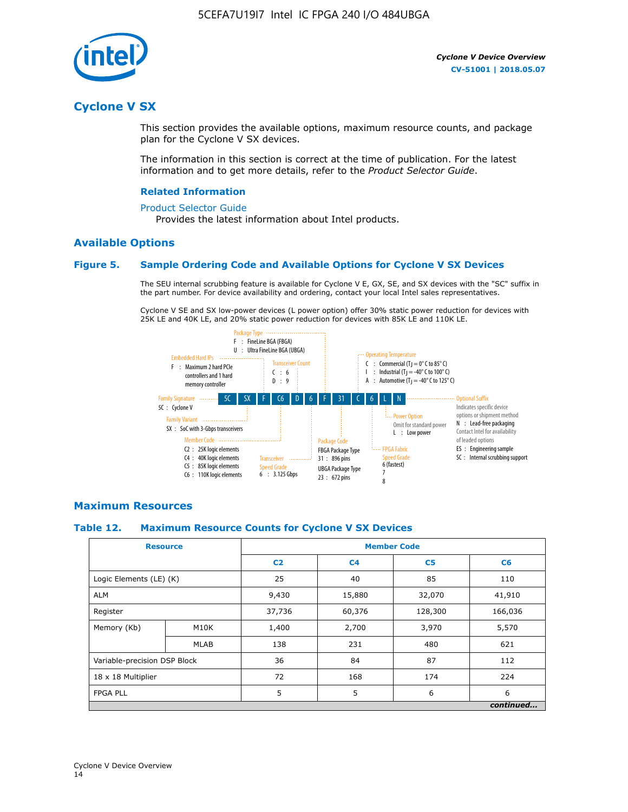

# **Cyclone V SX**

This section provides the available options, maximum resource counts, and package plan for the Cyclone V SX devices.

The information in this section is correct at the time of publication. For the latest information and to get more details, refer to the *Product Selector Guide*.

#### **Related Information**

#### [Product Selector Guide](https://www.altera.com/products/product-selector-guide.html)

Provides the latest information about Intel products.

#### **Available Options**

#### **Figure 5. Sample Ordering Code and Available Options for Cyclone V SX Devices**

The SEU internal scrubbing feature is available for Cyclone V E, GX, SE, and SX devices with the "SC" suffix in the part number. For device availability and ordering, contact your local Intel sales representatives.

Cyclone V SE and SX low-power devices (L power option) offer 30% static power reduction for devices with 25K LE and 40K LE, and 20% static power reduction for devices with 85K LE and 110K LE.



#### **Maximum Resources**

#### **Table 12. Maximum Resource Counts for Cyclone V SX Devices**

|                              | <b>Resource</b> | <b>Member Code</b> |                |                |           |  |
|------------------------------|-----------------|--------------------|----------------|----------------|-----------|--|
|                              |                 | C <sub>2</sub>     | C <sub>4</sub> | C <sub>5</sub> | C6        |  |
| Logic Elements (LE) (K)      |                 | 25                 | 40             | 85             | 110       |  |
| <b>ALM</b>                   |                 | 9,430              | 15,880         | 32,070         | 41,910    |  |
| Register                     |                 | 37,736             | 60,376         | 128,300        | 166,036   |  |
| Memory (Kb)                  | M10K            | 1,400              | 2,700          | 3,970          | 5,570     |  |
|                              | <b>MLAB</b>     | 138                | 231            | 480            | 621       |  |
| Variable-precision DSP Block |                 | 36                 | 84             | 87             | 112       |  |
| 18 x 18 Multiplier           |                 | 72                 | 168            | 174            | 224       |  |
| <b>FPGA PLL</b>              |                 | 5                  | 5              | 6              | 6         |  |
|                              |                 |                    |                |                | continued |  |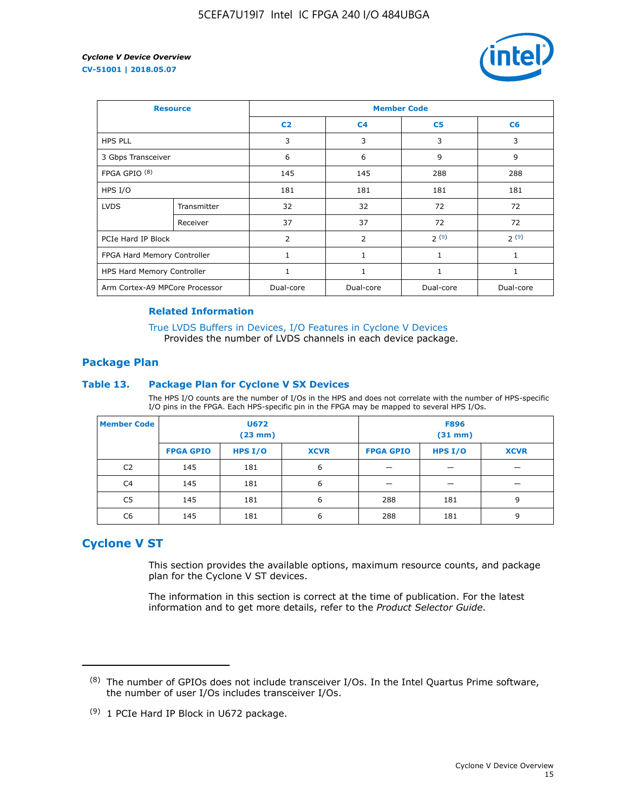

| <b>Resource</b>                |             | <b>Member Code</b> |                |                |                |  |  |
|--------------------------------|-------------|--------------------|----------------|----------------|----------------|--|--|
|                                |             | C <sub>2</sub>     | C <sub>4</sub> | C <sub>5</sub> | C <sub>6</sub> |  |  |
| <b>HPS PLL</b>                 |             | 3                  | 3              | 3              | 3              |  |  |
| 3 Gbps Transceiver             |             | 6                  | 6              | 9              | 9              |  |  |
| FPGA GPIO <sup>(8)</sup>       |             | 145                | 145            | 288            | 288            |  |  |
| HPS I/O                        |             | 181                | 181            | 181            | 181            |  |  |
| <b>LVDS</b>                    | Transmitter | 32                 | 32             | 72             | 72             |  |  |
|                                | Receiver    | 37                 | 37             | 72             | 72             |  |  |
| PCIe Hard IP Block             |             | 2                  | 2              | 2(9)           | 2(9)           |  |  |
| FPGA Hard Memory Controller    |             | $\mathbf{1}$       | 1              | $\mathbf{1}$   | $\mathbf{1}$   |  |  |
| HPS Hard Memory Controller     |             | 1                  | 1              | 1              | $\mathbf{1}$   |  |  |
| Arm Cortex-A9 MPCore Processor |             | Dual-core          | Dual-core      | Dual-core      | Dual-core      |  |  |

#### **Related Information**

[True LVDS Buffers in Devices, I/O Features in Cyclone V Devices](https://www.altera.com/documentation/sam1403481100977.html#sam1403480885395) Provides the number of LVDS channels in each device package.

#### **Package Plan**

#### **Table 13. Package Plan for Cyclone V SX Devices**

The HPS I/O counts are the number of I/Os in the HPS and does not correlate with the number of HPS-specific I/O pins in the FPGA. Each HPS-specific pin in the FPGA may be mapped to several HPS I/Os.

| <b>Member Code</b> | U672<br>(23 mm)  |           | <b>F896</b><br>$(31$ mm $)$ |                  |           |             |
|--------------------|------------------|-----------|-----------------------------|------------------|-----------|-------------|
|                    | <b>FPGA GPIO</b> | HPS $I/O$ | <b>XCVR</b>                 | <b>FPGA GPIO</b> | HPS $I/O$ | <b>XCVR</b> |
| C <sub>2</sub>     | 145              | 181       | 6                           |                  |           |             |
| C <sub>4</sub>     | 145              | 181       | 6                           |                  |           |             |
| C5                 | 145              | 181       | 6                           | 288              | 181       | 9           |
| C6                 | 145              | 181       | 6                           | 288              | 181       | 9           |

# **Cyclone V ST**

This section provides the available options, maximum resource counts, and package plan for the Cyclone V ST devices.

The information in this section is correct at the time of publication. For the latest information and to get more details, refer to the *Product Selector Guide*.

 $(8)$  The number of GPIOs does not include transceiver I/Os. In the Intel Quartus Prime software, the number of user I/Os includes transceiver I/Os.

<sup>(9)</sup> 1 PCIe Hard IP Block in U672 package.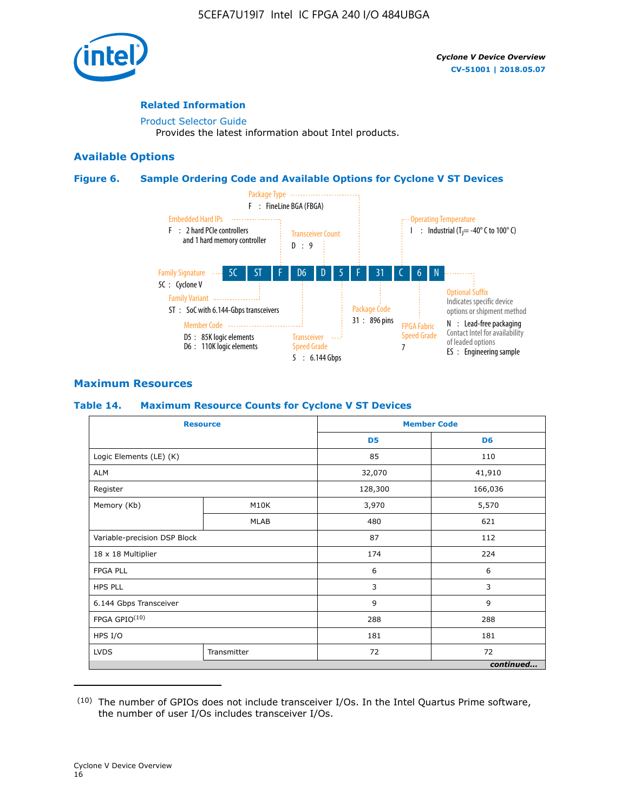

#### **Related Information**

[Product Selector Guide](https://www.altera.com/products/product-selector-guide.html) Provides the latest information about Intel products.

#### **Available Options**

#### **Figure 6. Sample Ordering Code and Available Options for Cyclone V ST Devices**



## **Maximum Resources**

#### **Table 14. Maximum Resource Counts for Cyclone V ST Devices**

| <b>Resource</b>              |             |                | <b>Member Code</b> |
|------------------------------|-------------|----------------|--------------------|
|                              |             | D <sub>5</sub> | D <sub>6</sub>     |
| Logic Elements (LE) (K)      |             | 85             | 110                |
| <b>ALM</b>                   |             | 32,070         | 41,910             |
| Register                     |             | 128,300        | 166,036            |
| Memory (Kb)                  | M10K        | 3,970          | 5,570              |
|                              | <b>MLAB</b> | 480            | 621                |
| Variable-precision DSP Block |             | 87             | 112                |
| 18 x 18 Multiplier           |             | 174            | 224                |
| <b>FPGA PLL</b>              |             | 6              | 6                  |
| <b>HPS PLL</b>               |             | 3              | 3                  |
| 6.144 Gbps Transceiver       |             | 9              | 9                  |
| FPGA GPIO(10)                |             | 288            | 288                |
| HPS I/O                      |             | 181            | 181                |
| <b>LVDS</b><br>Transmitter   |             | 72             | 72                 |
|                              |             |                | continued          |

<sup>(10)</sup> The number of GPIOs does not include transceiver I/Os. In the Intel Quartus Prime software, the number of user I/Os includes transceiver I/Os.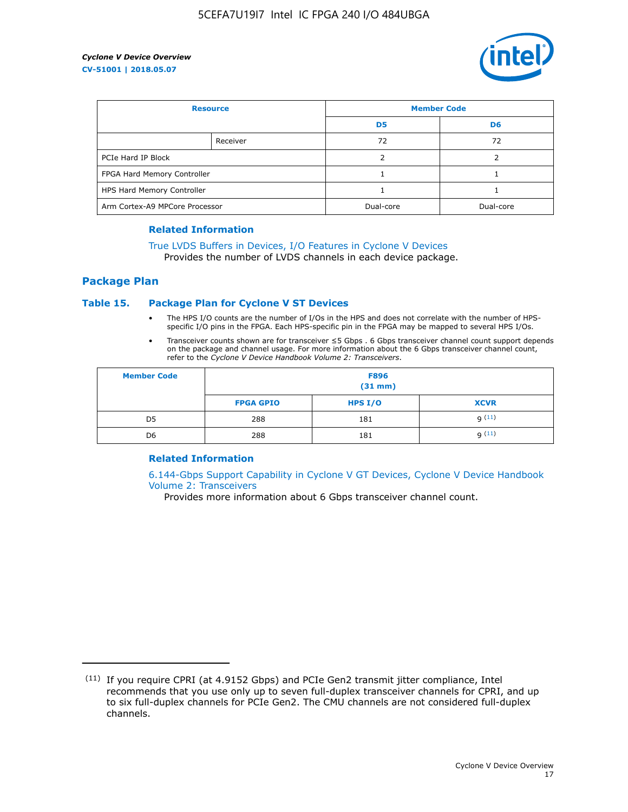

| <b>Resource</b>                |          | <b>Member Code</b> |                |  |
|--------------------------------|----------|--------------------|----------------|--|
|                                |          | D <sub>5</sub>     | D <sub>6</sub> |  |
|                                | Receiver | 72                 | 72             |  |
| PCIe Hard IP Block             |          |                    |                |  |
| FPGA Hard Memory Controller    |          |                    |                |  |
| HPS Hard Memory Controller     |          |                    |                |  |
| Arm Cortex-A9 MPCore Processor |          | Dual-core          | Dual-core      |  |

#### **Related Information**

# [True LVDS Buffers in Devices, I/O Features in Cyclone V Devices](https://www.altera.com/documentation/sam1403481100977.html#sam1403480885395)

Provides the number of LVDS channels in each device package.

#### **Package Plan**

#### **Table 15. Package Plan for Cyclone V ST Devices**

- The HPS I/O counts are the number of I/Os in the HPS and does not correlate with the number of HPSspecific I/O pins in the FPGA. Each HPS-specific pin in the FPGA may be mapped to several HPS I/Os.
- Transceiver counts shown are for transceiver ≤5 Gbps . 6 Gbps transceiver channel count support depends on the package and channel usage. For more information about the 6 Gbps transceiver channel count, refer to the *Cyclone V Device Handbook Volume 2: Transceivers*.

| <b>Member Code</b> | <b>F896</b><br>$(31$ mm $)$ |           |             |  |  |
|--------------------|-----------------------------|-----------|-------------|--|--|
|                    | <b>FPGA GPIO</b>            | HPS $I/O$ | <b>XCVR</b> |  |  |
| D <sub>5</sub>     | 288                         | 181       | 9(11)       |  |  |
| D <sub>6</sub>     | 288                         | 181       | q(11)       |  |  |

#### **Related Information**

[6.144-Gbps Support Capability in Cyclone V GT Devices, Cyclone V Device Handbook](https://www.altera.com/documentation/nik1409855456781.html#nik1409855410757) [Volume 2: Transceivers](https://www.altera.com/documentation/nik1409855456781.html#nik1409855410757)

Provides more information about 6 Gbps transceiver channel count.

<sup>(11)</sup> If you require CPRI (at 4.9152 Gbps) and PCIe Gen2 transmit jitter compliance, Intel recommends that you use only up to seven full-duplex transceiver channels for CPRI, and up to six full-duplex channels for PCIe Gen2. The CMU channels are not considered full-duplex channels.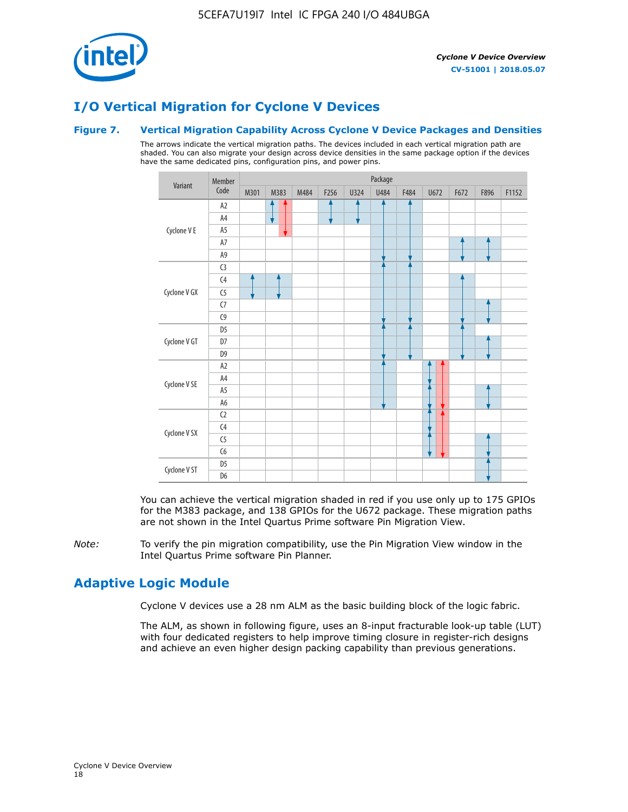

# **I/O Vertical Migration for Cyclone V Devices**

#### **Figure 7. Vertical Migration Capability Across Cyclone V Device Packages and Densities**

The arrows indicate the vertical migration paths. The devices included in each vertical migration path are shaded. You can also migrate your design across device densities in the same package option if the devices have the same dedicated pins, configuration pins, and power pins.



You can achieve the vertical migration shaded in red if you use only up to 175 GPIOs for the M383 package, and 138 GPIOs for the U672 package. These migration paths are not shown in the Intel Quartus Prime software Pin Migration View.

*Note:* To verify the pin migration compatibility, use the Pin Migration View window in the Intel Quartus Prime software Pin Planner.

# **Adaptive Logic Module**

Cyclone V devices use a 28 nm ALM as the basic building block of the logic fabric.

The ALM, as shown in following figure, uses an 8-input fracturable look-up table (LUT) with four dedicated registers to help improve timing closure in register-rich designs and achieve an even higher design packing capability than previous generations.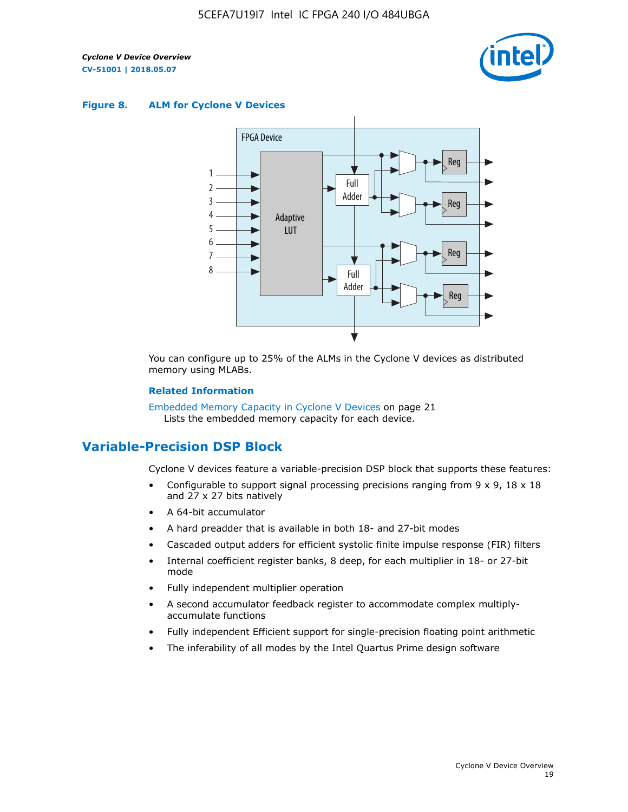

#### **Figure 8. ALM for Cyclone V Devices**



You can configure up to 25% of the ALMs in the Cyclone V devices as distributed memory using MLABs.

#### **Related Information**

Embedded Memory Capacity in Cyclone V Devices on page 21 Lists the embedded memory capacity for each device.

# **Variable-Precision DSP Block**

Cyclone V devices feature a variable-precision DSP block that supports these features:

- Configurable to support signal processing precisions ranging from  $9 \times 9$ ,  $18 \times 18$ and 27 x 27 bits natively
- A 64-bit accumulator
- A hard preadder that is available in both 18- and 27-bit modes
- Cascaded output adders for efficient systolic finite impulse response (FIR) filters
- Internal coefficient register banks, 8 deep, for each multiplier in 18- or 27-bit mode
- Fully independent multiplier operation
- A second accumulator feedback register to accommodate complex multiplyaccumulate functions
- Fully independent Efficient support for single-precision floating point arithmetic
- The inferability of all modes by the Intel Quartus Prime design software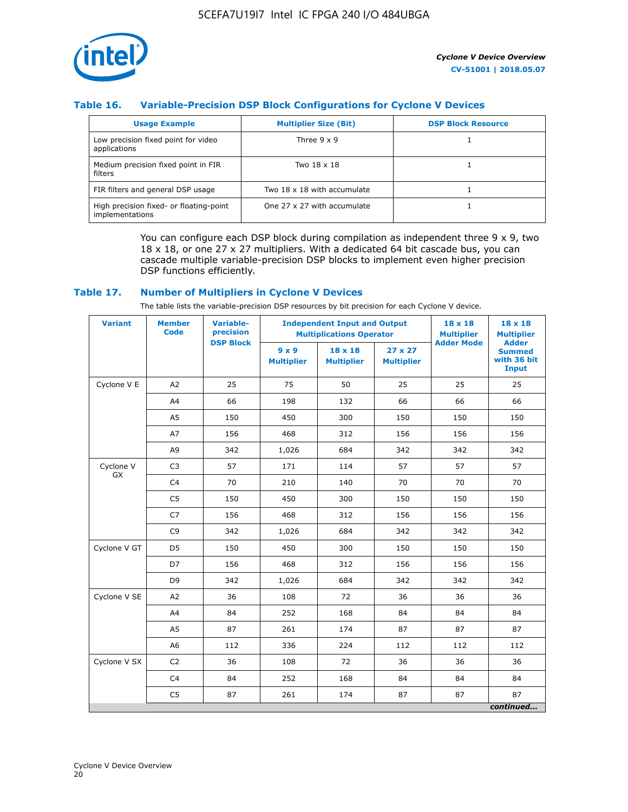

## **Table 16. Variable-Precision DSP Block Configurations for Cyclone V Devices**

| <b>Usage Example</b>                                       | <b>Multiplier Size (Bit)</b> | <b>DSP Block Resource</b> |
|------------------------------------------------------------|------------------------------|---------------------------|
| Low precision fixed point for video<br>applications        | Three $9 \times 9$           |                           |
| Medium precision fixed point in FIR<br>filters             | Two 18 x 18                  |                           |
| FIR filters and general DSP usage                          | Two 18 x 18 with accumulate  |                           |
| High precision fixed- or floating-point<br>implementations | One 27 x 27 with accumulate  |                           |

You can configure each DSP block during compilation as independent three  $9 \times 9$ , two 18 x 18, or one 27 x 27 multipliers. With a dedicated 64 bit cascade bus, you can cascade multiple variable-precision DSP blocks to implement even higher precision DSP functions efficiently.

#### **Table 17. Number of Multipliers in Cyclone V Devices**

The table lists the variable-precision DSP resources by bit precision for each Cyclone V device.

| <b>Variant</b>  | <b>Member</b><br><b>Code</b> | <b>Variable-</b><br>precision |                                   | <b>Independent Input and Output</b><br><b>Multiplications Operator</b> | $18 \times 18$<br><b>Multiplier</b> | $18 \times 18$<br><b>Multiplier</b> |                                                              |
|-----------------|------------------------------|-------------------------------|-----------------------------------|------------------------------------------------------------------------|-------------------------------------|-------------------------------------|--------------------------------------------------------------|
|                 |                              | <b>DSP Block</b>              | $9 \times 9$<br><b>Multiplier</b> | $18 \times 18$<br><b>Multiplier</b>                                    | $27 \times 27$<br><b>Multiplier</b> | <b>Adder Mode</b>                   | <b>Adder</b><br><b>Summed</b><br>with 36 bit<br><b>Input</b> |
| Cyclone V E     | A2                           | 25                            | 75                                | 50                                                                     | 25                                  | 25                                  | 25                                                           |
|                 | A4                           | 66                            | 198                               | 132                                                                    | 66                                  | 66                                  | 66                                                           |
|                 | A5                           | 150                           | 450                               | 300                                                                    | 150                                 | 150                                 | 150                                                          |
|                 | A7                           | 156                           | 468                               | 312                                                                    | 156                                 | 156                                 | 156                                                          |
|                 | A9                           | 342                           | 1,026                             | 684                                                                    | 342                                 | 342                                 | 342                                                          |
| Cyclone V<br>GX | C <sub>3</sub>               | 57                            | 171                               | 114                                                                    | 57                                  | 57                                  | 57                                                           |
|                 | C <sub>4</sub>               | 70                            | 210                               | 140                                                                    | 70                                  | 70                                  | 70                                                           |
|                 | C <sub>5</sub>               | 150                           | 450                               | 300                                                                    | 150                                 | 150                                 | 150                                                          |
|                 | C7                           | 156                           | 468                               | 312                                                                    | 156                                 | 156                                 | 156                                                          |
|                 | C <sub>9</sub>               | 342                           | 1,026                             | 684                                                                    | 342                                 | 342                                 | 342                                                          |
| Cyclone V GT    | D <sub>5</sub>               | 150                           | 450                               | 300                                                                    | 150                                 | 150                                 | 150                                                          |
|                 | D7                           | 156                           | 468                               | 312                                                                    | 156                                 | 156                                 | 156                                                          |
|                 | D <sub>9</sub>               | 342                           | 1,026                             | 684                                                                    | 342                                 | 342                                 | 342                                                          |
| Cyclone V SE    | A <sub>2</sub>               | 36                            | 108                               | 72                                                                     | 36                                  | 36                                  | 36                                                           |
|                 | A4                           | 84                            | 252                               | 168                                                                    | 84                                  | 84                                  | 84                                                           |
|                 | A5                           | 87                            | 261                               | 174                                                                    | 87                                  | 87                                  | 87                                                           |
|                 | A <sub>6</sub>               | 112                           | 336                               | 224                                                                    | 112                                 | 112                                 | 112                                                          |
| Cyclone V SX    | C <sub>2</sub>               | 36                            | 108                               | 72                                                                     | 36                                  | 36                                  | 36                                                           |
|                 | C <sub>4</sub>               | 84                            | 252                               | 168                                                                    | 84                                  | 84                                  | 84                                                           |
|                 | C <sub>5</sub>               | 87                            | 261                               | 174                                                                    | 87                                  | 87                                  | 87                                                           |
|                 |                              |                               |                                   |                                                                        |                                     |                                     | continued                                                    |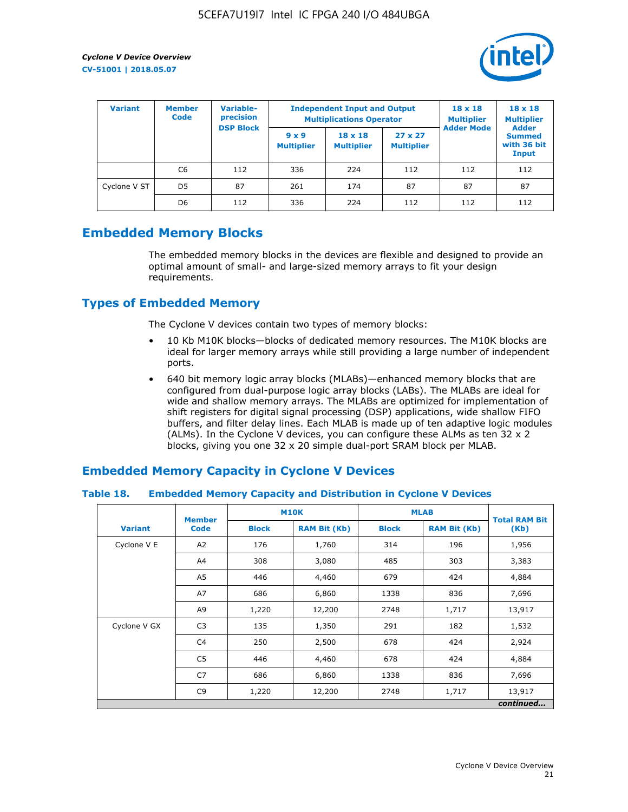

| <b>Variant</b> | <b>Variable-</b><br><b>Member</b><br>precision<br><b>Code</b> |                  | <b>Independent Input and Output</b><br><b>Multiplications Operator</b> | $18 \times 18$<br><b>Multiplier</b> | $18 \times 18$<br><b>Multiplier</b><br><b>Adder</b> |                   |                                       |
|----------------|---------------------------------------------------------------|------------------|------------------------------------------------------------------------|-------------------------------------|-----------------------------------------------------|-------------------|---------------------------------------|
|                |                                                               | <b>DSP Block</b> | $9 \times 9$<br><b>Multiplier</b>                                      | $18 \times 18$<br><b>Multiplier</b> | $27 \times 27$<br><b>Multiplier</b>                 | <b>Adder Mode</b> | <b>Summed</b><br>with 36 bit<br>Input |
|                | C6                                                            | 112              | 336                                                                    | 224                                 | 112                                                 | 112               | 112                                   |
| Cyclone V ST   | D <sub>5</sub>                                                | 87               | 261                                                                    | 174                                 | 87                                                  | 87                | 87                                    |
|                | D <sub>6</sub>                                                | 112              | 336                                                                    | 224                                 | 112                                                 | 112               | 112                                   |

# **Embedded Memory Blocks**

The embedded memory blocks in the devices are flexible and designed to provide an optimal amount of small- and large-sized memory arrays to fit your design requirements.

# **Types of Embedded Memory**

The Cyclone V devices contain two types of memory blocks:

- 10 Kb M10K blocks—blocks of dedicated memory resources. The M10K blocks are ideal for larger memory arrays while still providing a large number of independent ports.
- 640 bit memory logic array blocks (MLABs)—enhanced memory blocks that are configured from dual-purpose logic array blocks (LABs). The MLABs are ideal for wide and shallow memory arrays. The MLABs are optimized for implementation of shift registers for digital signal processing (DSP) applications, wide shallow FIFO buffers, and filter delay lines. Each MLAB is made up of ten adaptive logic modules (ALMs). In the Cyclone V devices, you can configure these ALMs as ten 32 x 2 blocks, giving you one 32 x 20 simple dual-port SRAM block per MLAB.

# **Embedded Memory Capacity in Cyclone V Devices**

#### **Table 18. Embedded Memory Capacity and Distribution in Cyclone V Devices**

|                | <b>Member</b>  | <b>M10K</b>                         |        | <b>MLAB</b>  | <b>Total RAM Bit</b> |           |
|----------------|----------------|-------------------------------------|--------|--------------|----------------------|-----------|
| <b>Variant</b> | <b>Code</b>    | <b>Block</b><br><b>RAM Bit (Kb)</b> |        | <b>Block</b> | <b>RAM Bit (Kb)</b>  | (Kb)      |
| Cyclone V E    | A2             | 176                                 | 1,760  | 314          | 196                  | 1,956     |
|                | A4             | 308                                 | 3,080  | 485          | 303                  | 3,383     |
|                | A5             | 446                                 | 4,460  | 679          | 424                  | 4,884     |
|                | A7             | 686                                 | 6,860  | 1338         | 836                  | 7,696     |
|                | A9             | 1,220                               | 12,200 | 2748         | 1,717                | 13,917    |
| Cyclone V GX   | C <sub>3</sub> | 135                                 | 1,350  | 291          | 182                  | 1,532     |
|                | C4             | 250                                 | 2,500  | 678          | 424                  | 2,924     |
|                | C <sub>5</sub> | 446                                 | 4,460  | 678          | 424                  | 4,884     |
|                | C7             | 686                                 | 6,860  | 1338         | 836                  | 7,696     |
|                | C <sub>9</sub> | 1,220                               | 12,200 | 2748         | 1,717                | 13,917    |
|                |                |                                     |        |              |                      | continued |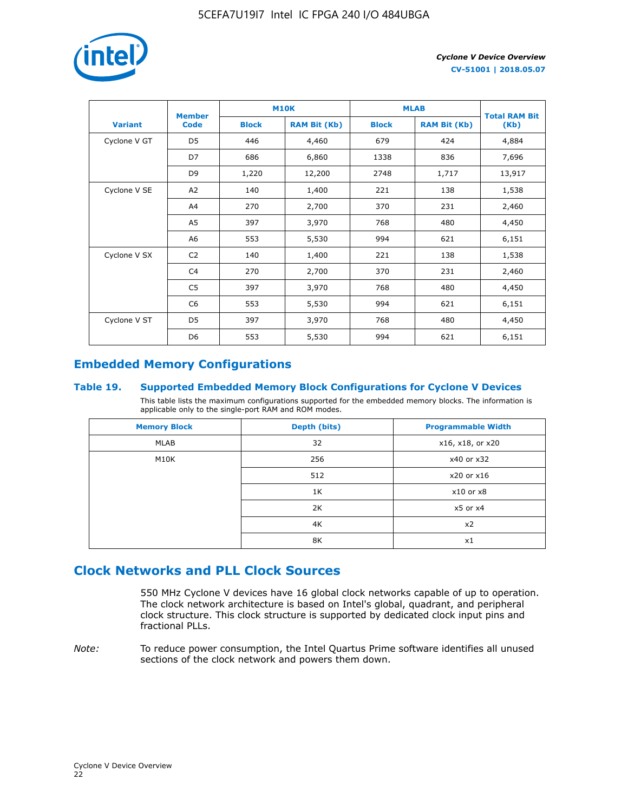

|                | <b>Member</b>  | <b>M10K</b>  |                     | <b>MLAB</b>  | <b>Total RAM Bit</b> |        |
|----------------|----------------|--------------|---------------------|--------------|----------------------|--------|
| <b>Variant</b> | <b>Code</b>    | <b>Block</b> | <b>RAM Bit (Kb)</b> | <b>Block</b> | <b>RAM Bit (Kb)</b>  | (Kb)   |
| Cyclone V GT   | D <sub>5</sub> | 446          | 4,460               | 679          | 424                  | 4,884  |
|                | D7             | 686          | 6,860               | 1338         | 836                  | 7,696  |
|                | D <sub>9</sub> | 1,220        | 12,200              | 2748         | 1,717                | 13,917 |
| Cyclone V SE   | A <sub>2</sub> | 140          | 1,400               | 221          | 138                  | 1,538  |
|                | A4             | 270          | 2,700               | 370          | 231                  | 2,460  |
|                | A5             | 397          | 3,970               | 768          | 480                  | 4,450  |
|                | A <sub>6</sub> | 553          | 5,530               | 994          | 621                  | 6,151  |
| Cyclone V SX   | C <sub>2</sub> | 140          | 1,400               | 221          | 138                  | 1,538  |
|                | C <sub>4</sub> | 270          | 2,700               | 370          | 231                  | 2,460  |
|                | C5             | 397          | 3,970               | 768          | 480                  | 4,450  |
|                | C6             | 553          | 5,530               | 994          | 621                  | 6,151  |
| Cyclone V ST   | D <sub>5</sub> | 397          | 3,970               | 768          | 480                  | 4,450  |
|                | D <sub>6</sub> | 553          | 5,530               | 994          | 621                  | 6,151  |

# **Embedded Memory Configurations**

#### **Table 19. Supported Embedded Memory Block Configurations for Cyclone V Devices**

This table lists the maximum configurations supported for the embedded memory blocks. The information is applicable only to the single-port RAM and ROM modes.

| <b>Memory Block</b> | Depth (bits) | <b>Programmable Width</b> |
|---------------------|--------------|---------------------------|
| MLAB                | 32           | x16, x18, or x20          |
| M10K                | 256          | x40 or x32                |
|                     | 512          | x20 or x16                |
|                     | 1K           | $x10$ or $x8$             |
|                     | 2K           | $x5$ or $x4$              |
|                     | 4K           | x2                        |
|                     | 8K           | x1                        |

# **Clock Networks and PLL Clock Sources**

550 MHz Cyclone V devices have 16 global clock networks capable of up to operation. The clock network architecture is based on Intel's global, quadrant, and peripheral clock structure. This clock structure is supported by dedicated clock input pins and fractional PLLs.

*Note:* To reduce power consumption, the Intel Quartus Prime software identifies all unused sections of the clock network and powers them down.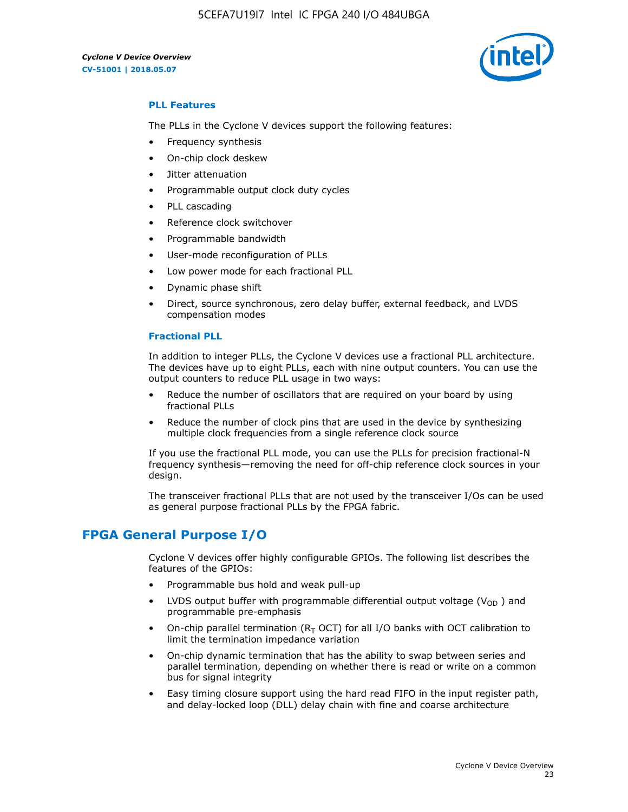5CEFA7U19I7 Intel IC FPGA 240 I/O 484UBGA



#### **PLL Features**

The PLLs in the Cyclone V devices support the following features:

- Frequency synthesis
- On-chip clock deskew
- Jitter attenuation
- Programmable output clock duty cycles
- PLL cascading
- Reference clock switchover
- Programmable bandwidth
- User-mode reconfiguration of PLLs
- Low power mode for each fractional PLL
- Dynamic phase shift
- Direct, source synchronous, zero delay buffer, external feedback, and LVDS compensation modes

#### **Fractional PLL**

In addition to integer PLLs, the Cyclone V devices use a fractional PLL architecture. The devices have up to eight PLLs, each with nine output counters. You can use the output counters to reduce PLL usage in two ways:

- Reduce the number of oscillators that are required on your board by using fractional PLLs
- Reduce the number of clock pins that are used in the device by synthesizing multiple clock frequencies from a single reference clock source

If you use the fractional PLL mode, you can use the PLLs for precision fractional-N frequency synthesis—removing the need for off-chip reference clock sources in your design.

The transceiver fractional PLLs that are not used by the transceiver I/Os can be used as general purpose fractional PLLs by the FPGA fabric.

# **FPGA General Purpose I/O**

Cyclone V devices offer highly configurable GPIOs. The following list describes the features of the GPIOs:

- Programmable bus hold and weak pull-up
- LVDS output buffer with programmable differential output voltage ( $V_{OD}$ ) and programmable pre-emphasis
- On-chip parallel termination ( $R<sub>T</sub>$  OCT) for all I/O banks with OCT calibration to limit the termination impedance variation
- On-chip dynamic termination that has the ability to swap between series and parallel termination, depending on whether there is read or write on a common bus for signal integrity
- Easy timing closure support using the hard read FIFO in the input register path, and delay-locked loop (DLL) delay chain with fine and coarse architecture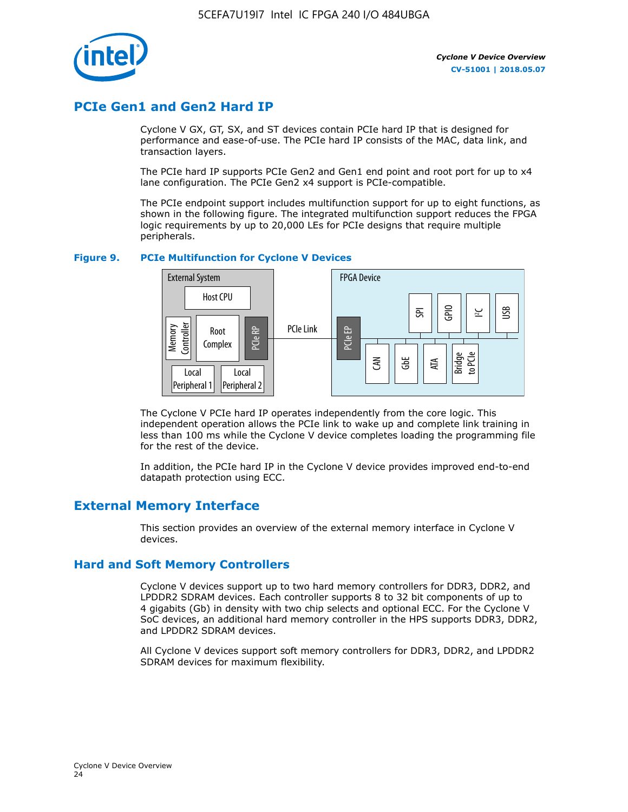

# **PCIe Gen1 and Gen2 Hard IP**

Cyclone V GX, GT, SX, and ST devices contain PCIe hard IP that is designed for performance and ease-of-use. The PCIe hard IP consists of the MAC, data link, and transaction layers.

The PCIe hard IP supports PCIe Gen2 and Gen1 end point and root port for up to x4 lane configuration. The PCIe Gen2 x4 support is PCIe-compatible.

The PCIe endpoint support includes multifunction support for up to eight functions, as shown in the following figure. The integrated multifunction support reduces the FPGA logic requirements by up to 20,000 LEs for PCIe designs that require multiple peripherals.

#### **Figure 9. PCIe Multifunction for Cyclone V Devices**



The Cyclone V PCIe hard IP operates independently from the core logic. This independent operation allows the PCIe link to wake up and complete link training in less than 100 ms while the Cyclone V device completes loading the programming file for the rest of the device.

In addition, the PCIe hard IP in the Cyclone V device provides improved end-to-end datapath protection using ECC.

# **External Memory Interface**

This section provides an overview of the external memory interface in Cyclone V devices.

## **Hard and Soft Memory Controllers**

Cyclone V devices support up to two hard memory controllers for DDR3, DDR2, and LPDDR2 SDRAM devices. Each controller supports 8 to 32 bit components of up to 4 gigabits (Gb) in density with two chip selects and optional ECC. For the Cyclone V SoC devices, an additional hard memory controller in the HPS supports DDR3, DDR2, and LPDDR2 SDRAM devices.

All Cyclone V devices support soft memory controllers for DDR3, DDR2, and LPDDR2 SDRAM devices for maximum flexibility.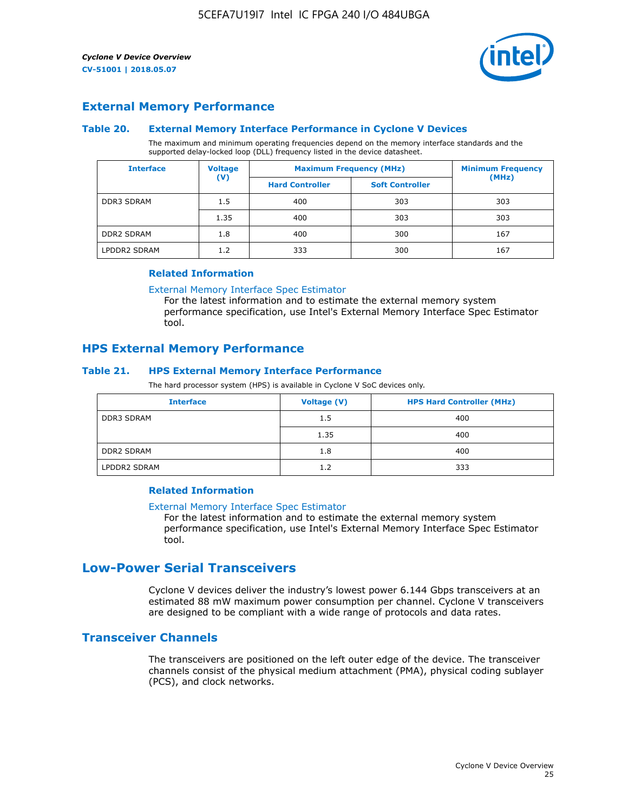

## **External Memory Performance**

#### **Table 20. External Memory Interface Performance in Cyclone V Devices**

The maximum and minimum operating frequencies depend on the memory interface standards and the supported delay-locked loop (DLL) frequency listed in the device datasheet.

| <b>Voltage</b><br><b>Interface</b> |                | <b>Maximum Frequency (MHz)</b> | <b>Minimum Frequency</b> |       |  |
|------------------------------------|----------------|--------------------------------|--------------------------|-------|--|
|                                    | $(\mathsf{V})$ | <b>Hard Controller</b>         | <b>Soft Controller</b>   | (MHz) |  |
| <b>DDR3 SDRAM</b>                  | 1.5            | 400                            | 303                      | 303   |  |
|                                    | 1.35           | 400                            | 303                      | 303   |  |
| <b>DDR2 SDRAM</b>                  | 1.8            | 400                            | 300                      | 167   |  |
| LPDDR2 SDRAM                       | 1.2            | 333                            | 300                      | 167   |  |

#### **Related Information**

[External Memory Interface Spec Estimator](https://www.altera.com/solutions/technology/external-memory/spec-estimator.html)

For the latest information and to estimate the external memory system performance specification, use Intel's External Memory Interface Spec Estimator tool.

## **HPS External Memory Performance**

#### **Table 21. HPS External Memory Interface Performance**

The hard processor system (HPS) is available in Cyclone V SoC devices only.

| <b>Interface</b>  | <b>Voltage (V)</b> | <b>HPS Hard Controller (MHz)</b> |
|-------------------|--------------------|----------------------------------|
| DDR3 SDRAM        | 1.5                | 400                              |
|                   | 1.35               | 400                              |
| <b>DDR2 SDRAM</b> | 1.8                | 400                              |
| LPDDR2 SDRAM      | 1.2                | 333                              |

#### **Related Information**

#### [External Memory Interface Spec Estimator](https://www.altera.com/solutions/technology/external-memory/spec-estimator.html)

For the latest information and to estimate the external memory system performance specification, use Intel's External Memory Interface Spec Estimator tool.

# **Low-Power Serial Transceivers**

Cyclone V devices deliver the industry's lowest power 6.144 Gbps transceivers at an estimated 88 mW maximum power consumption per channel. Cyclone V transceivers are designed to be compliant with a wide range of protocols and data rates.

## **Transceiver Channels**

The transceivers are positioned on the left outer edge of the device. The transceiver channels consist of the physical medium attachment (PMA), physical coding sublayer (PCS), and clock networks.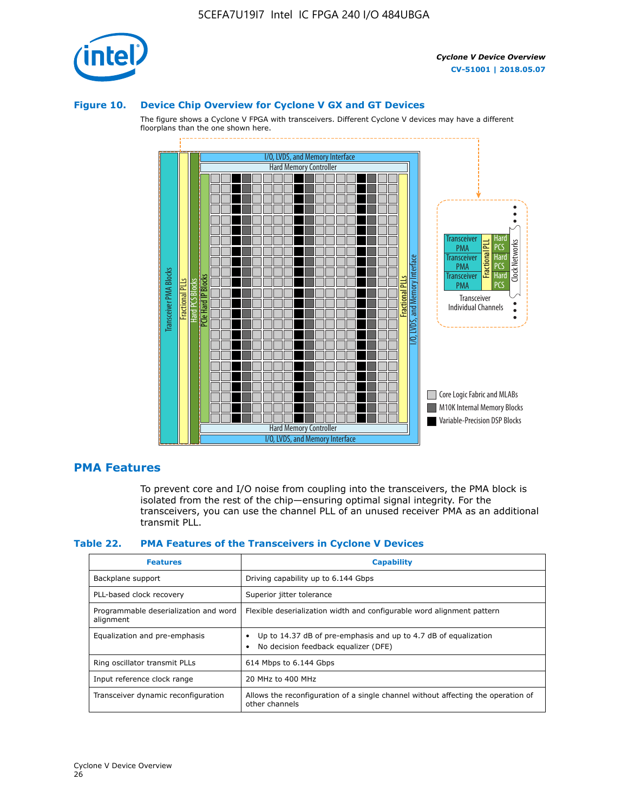

#### **Figure 10. Device Chip Overview for Cyclone V GX and GT Devices**

The figure shows a Cyclone V FPGA with transceivers. Different Cyclone V devices may have a different floorplans than the one shown here.



## **PMA Features**

To prevent core and I/O noise from coupling into the transceivers, the PMA block is isolated from the rest of the chip—ensuring optimal signal integrity. For the transceivers, you can use the channel PLL of an unused receiver PMA as an additional transmit PLL.

#### **Table 22. PMA Features of the Transceivers in Cyclone V Devices**

| <b>Features</b>                                    | <b>Capability</b>                                                                                       |
|----------------------------------------------------|---------------------------------------------------------------------------------------------------------|
| Backplane support                                  | Driving capability up to 6.144 Gbps                                                                     |
| PLL-based clock recovery                           | Superior jitter tolerance                                                                               |
| Programmable deserialization and word<br>alignment | Flexible deserialization width and configurable word alignment pattern                                  |
| Equalization and pre-emphasis                      | Up to 14.37 dB of pre-emphasis and up to 4.7 dB of equalization<br>No decision feedback equalizer (DFE) |
| Ring oscillator transmit PLLs                      | 614 Mbps to 6.144 Gbps                                                                                  |
| Input reference clock range                        | 20 MHz to 400 MHz                                                                                       |
| Transceiver dynamic reconfiguration                | Allows the reconfiguration of a single channel without affecting the operation of<br>other channels     |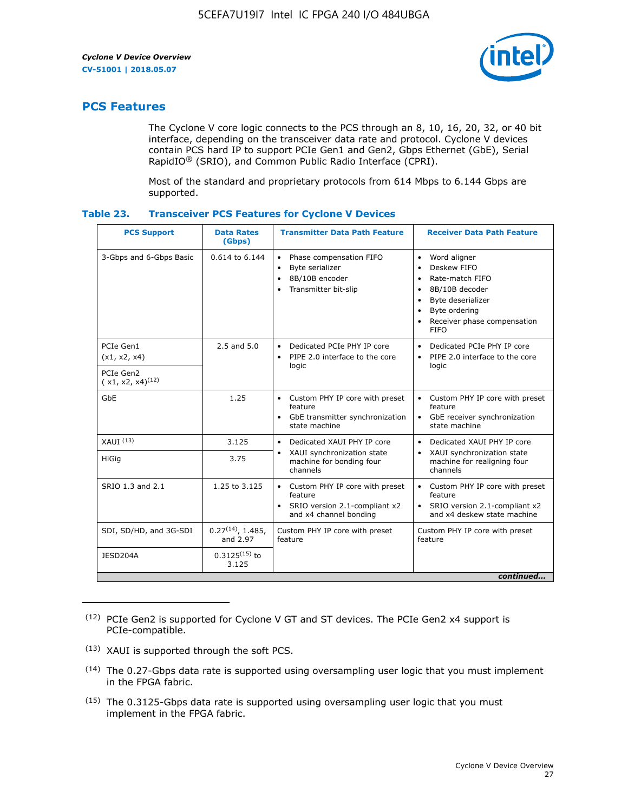

# **PCS Features**

The Cyclone V core logic connects to the PCS through an 8, 10, 16, 20, 32, or 40 bit interface, depending on the transceiver data rate and protocol. Cyclone V devices contain PCS hard IP to support PCIe Gen1 and Gen2, Gbps Ethernet (GbE), Serial RapidIO® (SRIO), and Common Public Radio Interface (CPRI).

Most of the standard and proprietary protocols from 614 Mbps to 6.144 Gbps are supported.

| Table 23. | <b>Transceiver PCS Features for Cyclone V Devices</b> |  |  |  |
|-----------|-------------------------------------------------------|--|--|--|
|-----------|-------------------------------------------------------|--|--|--|

| <b>PCS Support</b>                 | <b>Data Rates</b><br>(Gbps)        | <b>Transmitter Data Path Feature</b>                                                                         | <b>Receiver Data Path Feature</b>                                                                                                                                                                             |  |  |  |
|------------------------------------|------------------------------------|--------------------------------------------------------------------------------------------------------------|---------------------------------------------------------------------------------------------------------------------------------------------------------------------------------------------------------------|--|--|--|
| 3-Gbps and 6-Gbps Basic            | $0.614$ to $6.144$                 | Phase compensation FIFO<br>$\bullet$<br>Byte serializer<br>٠<br>8B/10B encoder<br>Transmitter bit-slip       | Word aligner<br>$\bullet$<br>Deskew FIFO<br>Rate-match FIFO<br>$\bullet$<br>8B/10B decoder<br>$\bullet$<br>Byte deserializer<br>٠<br>Byte ordering<br>$\bullet$<br>Receiver phase compensation<br><b>FIFO</b> |  |  |  |
| PCIe Gen1<br>(x1, x2, x4)          | $2.5$ and $5.0$                    | Dedicated PCIe PHY IP core<br>$\bullet$<br>PIPE 2.0 interface to the core<br>$\bullet$<br>logic              | Dedicated PCIe PHY IP core<br>$\bullet$<br>PIPE 2.0 interface to the core<br>$\bullet$<br>logic                                                                                                               |  |  |  |
| PCIe Gen2<br>$(x1, x2, x4)^{(12)}$ |                                    |                                                                                                              |                                                                                                                                                                                                               |  |  |  |
| GbE                                | 1.25                               | • Custom PHY IP core with preset<br>feature<br>GbE transmitter synchronization<br>$\bullet$<br>state machine | • Custom PHY IP core with preset<br>feature<br>GbE receiver synchronization<br>state machine                                                                                                                  |  |  |  |
| $XAlJI$ $(13)$                     | 3.125                              | Dedicated XAUI PHY IP core<br>$\bullet$                                                                      | Dedicated XAUI PHY IP core<br>$\bullet$                                                                                                                                                                       |  |  |  |
| HiGig                              | 3.75                               | XAUI synchronization state<br>machine for bonding four<br>channels                                           | XAUI synchronization state<br>$\bullet$<br>machine for realigning four<br>channels                                                                                                                            |  |  |  |
| SRIO 1.3 and 2.1                   | 1.25 to 3.125                      | • Custom PHY IP core with preset<br>feature<br>• SRIO version 2.1-compliant x2<br>and x4 channel bonding     | • Custom PHY IP core with preset<br>feature<br>• SRIO version 2.1-compliant x2<br>and x4 deskew state machine                                                                                                 |  |  |  |
| SDI, SD/HD, and 3G-SDI             | $0.27^{(14)}$ , 1.485,<br>and 2.97 | Custom PHY IP core with preset<br>feature                                                                    | Custom PHY IP core with preset<br>feature                                                                                                                                                                     |  |  |  |
| JESD204A                           | $0.3125^{(15)}$ to<br>3.125        |                                                                                                              |                                                                                                                                                                                                               |  |  |  |
| continued                          |                                    |                                                                                                              |                                                                                                                                                                                                               |  |  |  |

<sup>(12)</sup> PCIe Gen2 is supported for Cyclone V GT and ST devices. The PCIe Gen2 x4 support is PCIe-compatible.

<sup>(13)</sup> XAUI is supported through the soft PCS.

<sup>(14)</sup> The 0.27-Gbps data rate is supported using oversampling user logic that you must implement in the FPGA fabric.

<sup>(15)</sup> The 0.3125-Gbps data rate is supported using oversampling user logic that you must implement in the FPGA fabric.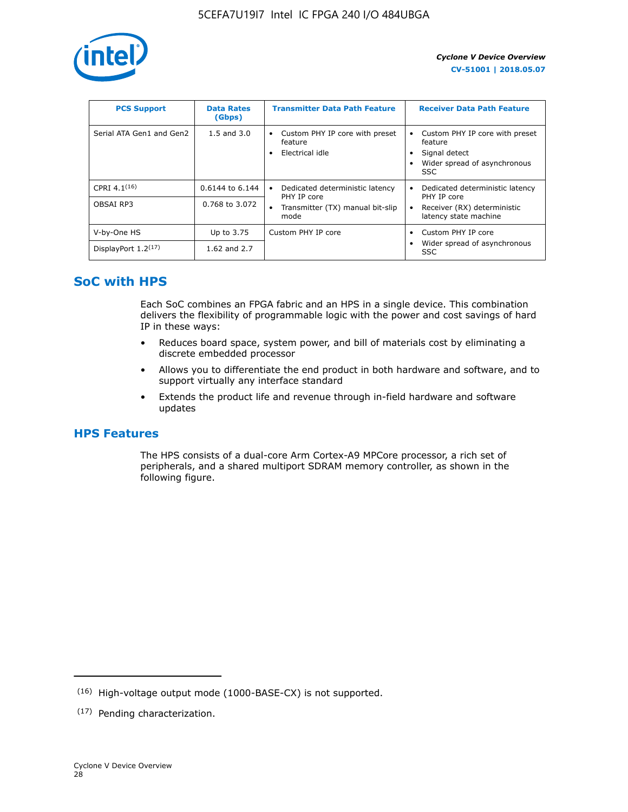

| <b>PCS Support</b>       | <b>Data Rates</b><br>(Gbps) | <b>Transmitter Data Path Feature</b>                         | <b>Receiver Data Path Feature</b>                                                                  |
|--------------------------|-----------------------------|--------------------------------------------------------------|----------------------------------------------------------------------------------------------------|
| Serial ATA Gen1 and Gen2 | $1.5$ and $3.0$             | Custom PHY IP core with preset<br>feature<br>Electrical idle | Custom PHY IP core with preset<br>feature<br>Signal detect<br>Wider spread of asynchronous<br>SSC. |
| CPRI $4.1^{(16)}$        | 0.6144 to 6.144             | Dedicated deterministic latency<br>$\bullet$<br>PHY IP core  | Dedicated deterministic latency<br>PHY IP core                                                     |
| OBSAI RP3                | 0.768 to 3.072              | Transmitter (TX) manual bit-slip<br>mode                     | Receiver (RX) deterministic<br>latency state machine                                               |
| V-by-One HS              | Up to 3.75                  | Custom PHY IP core                                           | Custom PHY IP core                                                                                 |
| DisplayPort $1.2^{(17)}$ | 1.62 and $2.7$              |                                                              | Wider spread of asynchronous<br><b>SSC</b>                                                         |

# **SoC with HPS**

Each SoC combines an FPGA fabric and an HPS in a single device. This combination delivers the flexibility of programmable logic with the power and cost savings of hard IP in these ways:

- Reduces board space, system power, and bill of materials cost by eliminating a discrete embedded processor
- Allows you to differentiate the end product in both hardware and software, and to support virtually any interface standard
- Extends the product life and revenue through in-field hardware and software updates

# **HPS Features**

The HPS consists of a dual-core Arm Cortex-A9 MPCore processor, a rich set of peripherals, and a shared multiport SDRAM memory controller, as shown in the following figure.

<sup>(16)</sup> High-voltage output mode (1000-BASE-CX) is not supported.

<sup>(17)</sup> Pending characterization.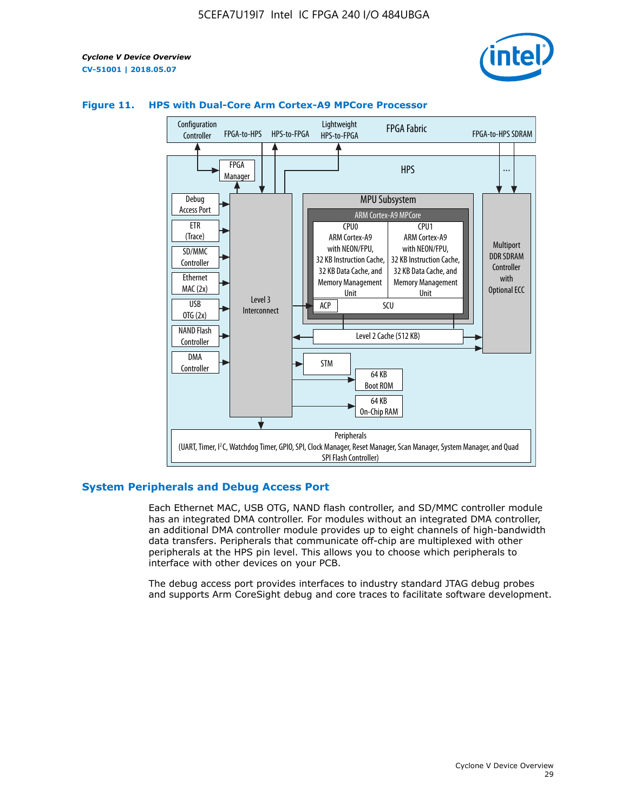



#### **Figure 11. HPS with Dual-Core Arm Cortex-A9 MPCore Processor**

#### **System Peripherals and Debug Access Port**

Each Ethernet MAC, USB OTG, NAND flash controller, and SD/MMC controller module has an integrated DMA controller. For modules without an integrated DMA controller, an additional DMA controller module provides up to eight channels of high-bandwidth data transfers. Peripherals that communicate off-chip are multiplexed with other peripherals at the HPS pin level. This allows you to choose which peripherals to interface with other devices on your PCB.

The debug access port provides interfaces to industry standard JTAG debug probes and supports Arm CoreSight debug and core traces to facilitate software development.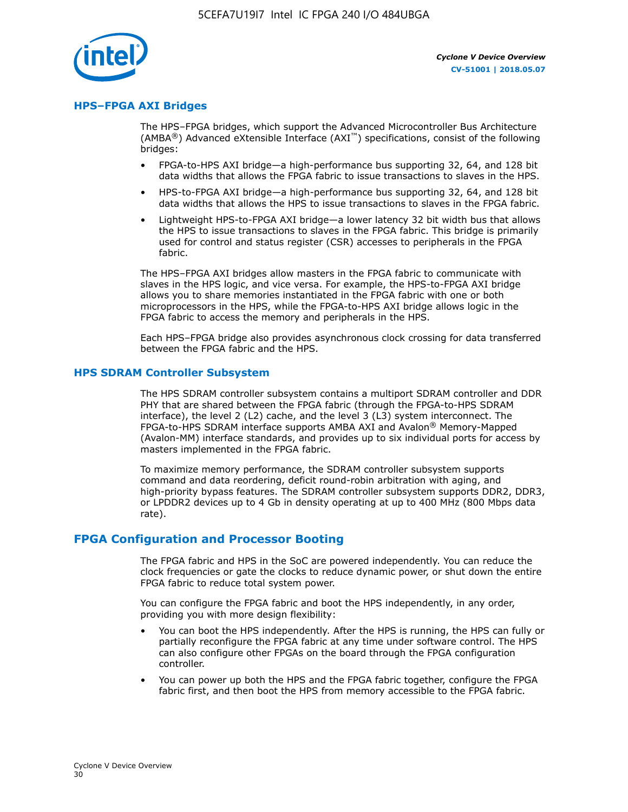

#### **HPS–FPGA AXI Bridges**

The HPS–FPGA bridges, which support the Advanced Microcontroller Bus Architecture (AMBA<sup>®</sup>) Advanced eXtensible Interface (AXI<sup>™</sup>) specifications, consist of the following bridges:

- FPGA-to-HPS AXI bridge—a high-performance bus supporting 32, 64, and 128 bit data widths that allows the FPGA fabric to issue transactions to slaves in the HPS.
- HPS-to-FPGA AXI bridge—a high-performance bus supporting 32, 64, and 128 bit data widths that allows the HPS to issue transactions to slaves in the FPGA fabric.
- Lightweight HPS-to-FPGA AXI bridge—a lower latency 32 bit width bus that allows the HPS to issue transactions to slaves in the FPGA fabric. This bridge is primarily used for control and status register (CSR) accesses to peripherals in the FPGA fabric.

The HPS–FPGA AXI bridges allow masters in the FPGA fabric to communicate with slaves in the HPS logic, and vice versa. For example, the HPS-to-FPGA AXI bridge allows you to share memories instantiated in the FPGA fabric with one or both microprocessors in the HPS, while the FPGA-to-HPS AXI bridge allows logic in the FPGA fabric to access the memory and peripherals in the HPS.

Each HPS–FPGA bridge also provides asynchronous clock crossing for data transferred between the FPGA fabric and the HPS.

#### **HPS SDRAM Controller Subsystem**

The HPS SDRAM controller subsystem contains a multiport SDRAM controller and DDR PHY that are shared between the FPGA fabric (through the FPGA-to-HPS SDRAM interface), the level 2 (L2) cache, and the level 3 (L3) system interconnect. The FPGA-to-HPS SDRAM interface supports AMBA AXI and Avalon® Memory-Mapped (Avalon-MM) interface standards, and provides up to six individual ports for access by masters implemented in the FPGA fabric.

To maximize memory performance, the SDRAM controller subsystem supports command and data reordering, deficit round-robin arbitration with aging, and high-priority bypass features. The SDRAM controller subsystem supports DDR2, DDR3, or LPDDR2 devices up to 4 Gb in density operating at up to 400 MHz (800 Mbps data rate).

#### **FPGA Configuration and Processor Booting**

The FPGA fabric and HPS in the SoC are powered independently. You can reduce the clock frequencies or gate the clocks to reduce dynamic power, or shut down the entire FPGA fabric to reduce total system power.

You can configure the FPGA fabric and boot the HPS independently, in any order, providing you with more design flexibility:

- You can boot the HPS independently. After the HPS is running, the HPS can fully or partially reconfigure the FPGA fabric at any time under software control. The HPS can also configure other FPGAs on the board through the FPGA configuration controller.
- You can power up both the HPS and the FPGA fabric together, configure the FPGA fabric first, and then boot the HPS from memory accessible to the FPGA fabric.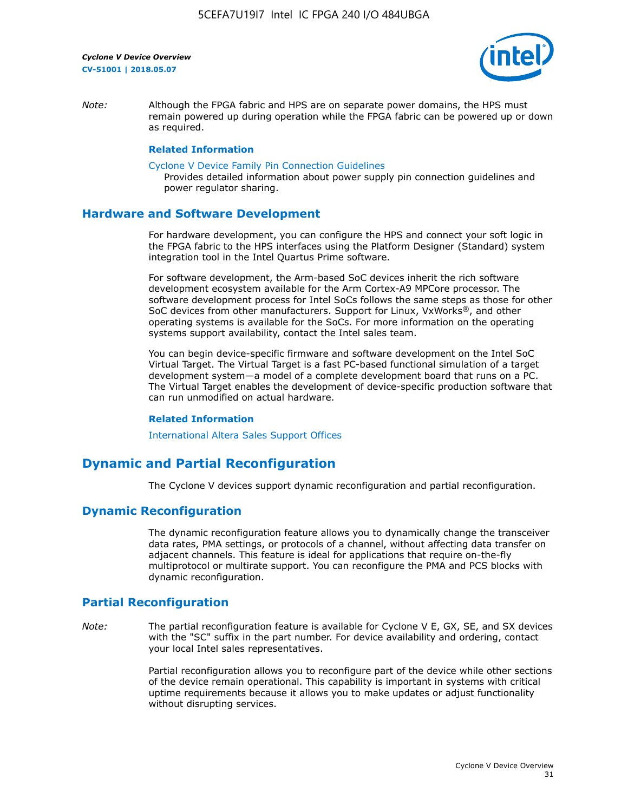

*Note:* Although the FPGA fabric and HPS are on separate power domains, the HPS must remain powered up during operation while the FPGA fabric can be powered up or down as required.

#### **Related Information**

[Cyclone V Device Family Pin Connection Guidelines](https://www.altera.com/content/dam/altera-www/global/en_US/pdfs/literature/dp/cyclone-v/pcg-01014.pdf)

Provides detailed information about power supply pin connection guidelines and power regulator sharing.

#### **Hardware and Software Development**

For hardware development, you can configure the HPS and connect your soft logic in the FPGA fabric to the HPS interfaces using the Platform Designer (Standard) system integration tool in the Intel Quartus Prime software.

For software development, the Arm-based SoC devices inherit the rich software development ecosystem available for the Arm Cortex-A9 MPCore processor. The software development process for Intel SoCs follows the same steps as those for other SoC devices from other manufacturers. Support for Linux, VxWorks®, and other operating systems is available for the SoCs. For more information on the operating systems support availability, contact the Intel sales team.

You can begin device-specific firmware and software development on the Intel SoC Virtual Target. The Virtual Target is a fast PC-based functional simulation of a target development system—a model of a complete development board that runs on a PC. The Virtual Target enables the development of device-specific production software that can run unmodified on actual hardware.

#### **Related Information**

[International Altera Sales Support Offices](https://www.altera.com/about/contact/contact/international-altera-sales-offices.html)

# **Dynamic and Partial Reconfiguration**

The Cyclone V devices support dynamic reconfiguration and partial reconfiguration.

## **Dynamic Reconfiguration**

The dynamic reconfiguration feature allows you to dynamically change the transceiver data rates, PMA settings, or protocols of a channel, without affecting data transfer on adjacent channels. This feature is ideal for applications that require on-the-fly multiprotocol or multirate support. You can reconfigure the PMA and PCS blocks with dynamic reconfiguration.

# **Partial Reconfiguration**

*Note:* The partial reconfiguration feature is available for Cyclone V E, GX, SE, and SX devices with the "SC" suffix in the part number. For device availability and ordering, contact your local Intel sales representatives.

> Partial reconfiguration allows you to reconfigure part of the device while other sections of the device remain operational. This capability is important in systems with critical uptime requirements because it allows you to make updates or adjust functionality without disrupting services.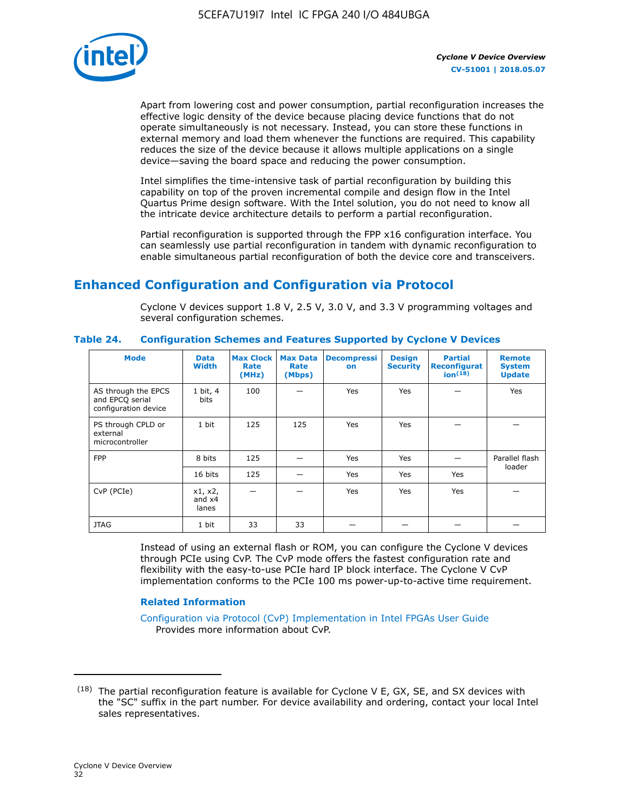

Apart from lowering cost and power consumption, partial reconfiguration increases the effective logic density of the device because placing device functions that do not operate simultaneously is not necessary. Instead, you can store these functions in external memory and load them whenever the functions are required. This capability reduces the size of the device because it allows multiple applications on a single device—saving the board space and reducing the power consumption.

Intel simplifies the time-intensive task of partial reconfiguration by building this capability on top of the proven incremental compile and design flow in the Intel Quartus Prime design software. With the Intel solution, you do not need to know all the intricate device architecture details to perform a partial reconfiguration.

Partial reconfiguration is supported through the FPP x16 configuration interface. You can seamlessly use partial reconfiguration in tandem with dynamic reconfiguration to enable simultaneous partial reconfiguration of both the device core and transceivers.

# **Enhanced Configuration and Configuration via Protocol**

Cyclone V devices support 1.8 V, 2.5 V, 3.0 V, and 3.3 V programming voltages and several configuration schemes.

| <b>Mode</b>                                                    | <b>Data</b><br>Width         | Max Clock  <br>Rate<br>(MHz) | <b>Max Data</b><br>Rate<br>(Mbps) | <b>Decompressi</b><br>on | <b>Design</b><br><b>Security</b> | <b>Partial</b><br><b>Reconfigurat</b><br>ion <sup>(18)</sup> | <b>Remote</b><br><b>System</b><br><b>Update</b> |
|----------------------------------------------------------------|------------------------------|------------------------------|-----------------------------------|--------------------------|----------------------------------|--------------------------------------------------------------|-------------------------------------------------|
| AS through the EPCS<br>and EPCQ serial<br>configuration device | 1 bit, 4<br>bits             | 100                          |                                   | Yes                      | <b>Yes</b>                       |                                                              | Yes                                             |
| PS through CPLD or<br>external<br>microcontroller              | 1 bit                        | 125                          | 125                               | Yes                      | <b>Yes</b>                       |                                                              |                                                 |
| <b>FPP</b>                                                     | 8 bits                       | 125                          |                                   | Yes                      | <b>Yes</b>                       |                                                              | Parallel flash                                  |
|                                                                | 16 bits                      | 125                          |                                   | Yes                      | <b>Yes</b>                       | Yes                                                          | loader                                          |
| CvP (PCIe)                                                     | x1, x2,<br>and $x4$<br>lanes |                              |                                   | Yes                      | <b>Yes</b>                       | Yes                                                          |                                                 |
| <b>JTAG</b>                                                    | 1 bit                        | 33                           | 33                                |                          |                                  |                                                              |                                                 |

**Table 24. Configuration Schemes and Features Supported by Cyclone V Devices**

Instead of using an external flash or ROM, you can configure the Cyclone V devices through PCIe using CvP. The CvP mode offers the fastest configuration rate and flexibility with the easy-to-use PCIe hard IP block interface. The Cyclone V CvP implementation conforms to the PCIe 100 ms power-up-to-active time requirement.

#### **Related Information**

[Configuration via Protocol \(CvP\) Implementation in Intel FPGAs User Guide](https://www.altera.com/documentation/nik1412546950394.html#nik1412546833714) Provides more information about CvP.

 $(18)$  The partial reconfiguration feature is available for Cyclone V E, GX, SE, and SX devices with the "SC" suffix in the part number. For device availability and ordering, contact your local Intel sales representatives.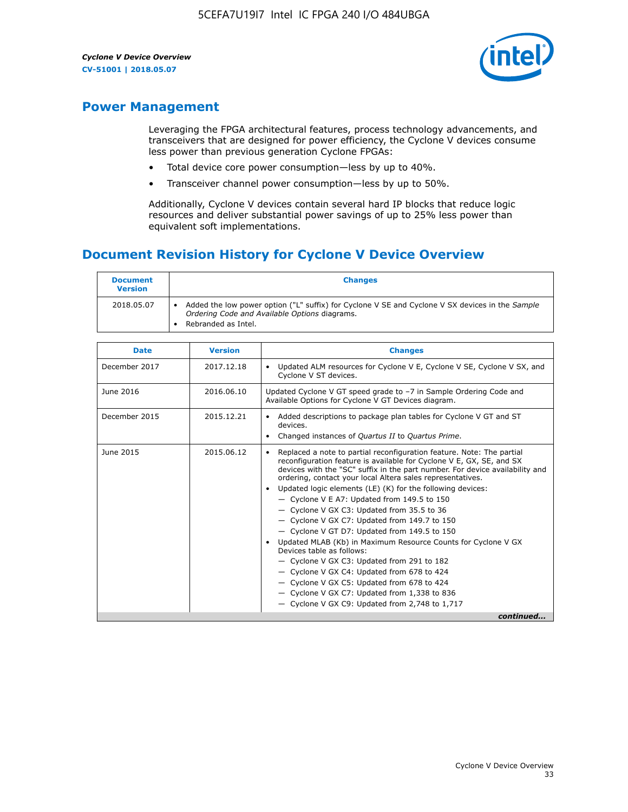

# **Power Management**

Leveraging the FPGA architectural features, process technology advancements, and transceivers that are designed for power efficiency, the Cyclone V devices consume less power than previous generation Cyclone FPGAs:

- Total device core power consumption—less by up to 40%.
- Transceiver channel power consumption—less by up to 50%.

Additionally, Cyclone V devices contain several hard IP blocks that reduce logic resources and deliver substantial power savings of up to 25% less power than equivalent soft implementations.

# **Document Revision History for Cyclone V Device Overview**

| <b>Document</b><br><b>Version</b> | <b>Changes</b>                                                                                                                                                          |
|-----------------------------------|-------------------------------------------------------------------------------------------------------------------------------------------------------------------------|
| 2018.05.07                        | Added the low power option ("L" suffix) for Cyclone V SE and Cyclone V SX devices in the Sample<br>Ordering Code and Available Options diagrams.<br>Rebranded as Intel. |

| <b>Date</b>   | <b>Version</b> | <b>Changes</b>                                                                                                                                                                                                                                                                                                                                                                                                                                                                                                                                                                                                                                                                                                                                                                                                                                                                                                    |
|---------------|----------------|-------------------------------------------------------------------------------------------------------------------------------------------------------------------------------------------------------------------------------------------------------------------------------------------------------------------------------------------------------------------------------------------------------------------------------------------------------------------------------------------------------------------------------------------------------------------------------------------------------------------------------------------------------------------------------------------------------------------------------------------------------------------------------------------------------------------------------------------------------------------------------------------------------------------|
| December 2017 | 2017.12.18     | Updated ALM resources for Cyclone V E, Cyclone V SE, Cyclone V SX, and<br>Cyclone V ST devices.                                                                                                                                                                                                                                                                                                                                                                                                                                                                                                                                                                                                                                                                                                                                                                                                                   |
| June 2016     | 2016.06.10     | Updated Cyclone V GT speed grade to -7 in Sample Ordering Code and<br>Available Options for Cyclone V GT Devices diagram.                                                                                                                                                                                                                                                                                                                                                                                                                                                                                                                                                                                                                                                                                                                                                                                         |
| December 2015 | 2015.12.21     | Added descriptions to package plan tables for Cyclone V GT and ST<br>devices.<br>Changed instances of Quartus II to Quartus Prime.<br>$\bullet$                                                                                                                                                                                                                                                                                                                                                                                                                                                                                                                                                                                                                                                                                                                                                                   |
| June 2015     | 2015.06.12     | Replaced a note to partial reconfiguration feature. Note: The partial<br>reconfiguration feature is available for Cyclone V E, GX, SE, and SX<br>devices with the "SC" suffix in the part number. For device availability and<br>ordering, contact your local Altera sales representatives.<br>Updated logic elements (LE) (K) for the following devices:<br>$\bullet$<br>$-$ Cyclone V E A7: Updated from 149.5 to 150<br>- Cyclone V GX C3: Updated from 35.5 to 36<br>- Cyclone V GX C7: Updated from 149.7 to 150<br>- Cyclone V GT D7: Updated from 149.5 to 150<br>Updated MLAB (Kb) in Maximum Resource Counts for Cyclone V GX<br>Devices table as follows:<br>- Cyclone V GX C3: Updated from 291 to 182<br>- Cyclone V GX C4: Updated from 678 to 424<br>- Cyclone V GX C5: Updated from 678 to 424<br>- Cyclone V GX C7: Updated from 1,338 to 836<br>$-$ Cyclone V GX C9: Updated from 2,748 to 1,717 |
|               |                | continued                                                                                                                                                                                                                                                                                                                                                                                                                                                                                                                                                                                                                                                                                                                                                                                                                                                                                                         |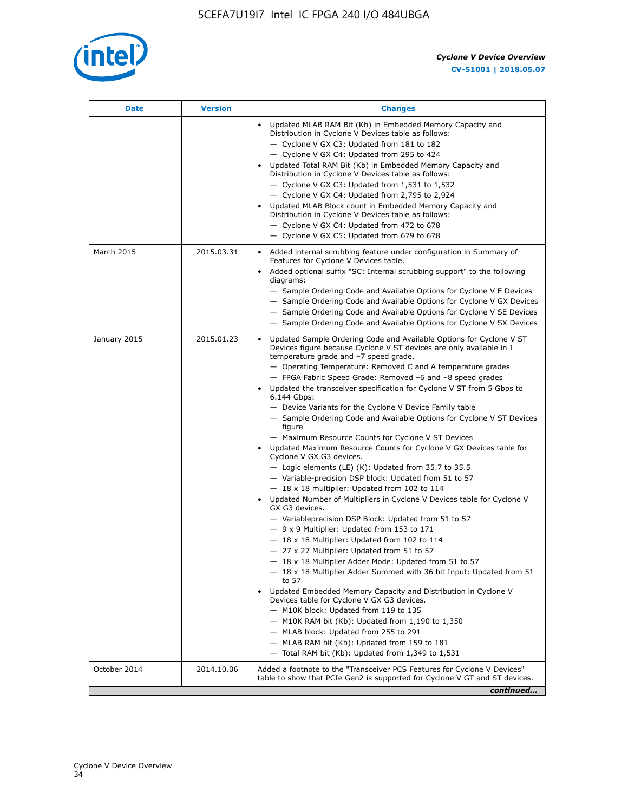

| Date         | <b>Version</b> | <b>Changes</b>                                                                                                                                                                                                                                                                                                                                                                                                                                                                                                                                                                                                                                                                                                                                                                                                                                                                                                                                                                                                                                                                                                                                                                                                                                                                                                                                                                                                                                                                                                                                                                                                                                                                                                  |
|--------------|----------------|-----------------------------------------------------------------------------------------------------------------------------------------------------------------------------------------------------------------------------------------------------------------------------------------------------------------------------------------------------------------------------------------------------------------------------------------------------------------------------------------------------------------------------------------------------------------------------------------------------------------------------------------------------------------------------------------------------------------------------------------------------------------------------------------------------------------------------------------------------------------------------------------------------------------------------------------------------------------------------------------------------------------------------------------------------------------------------------------------------------------------------------------------------------------------------------------------------------------------------------------------------------------------------------------------------------------------------------------------------------------------------------------------------------------------------------------------------------------------------------------------------------------------------------------------------------------------------------------------------------------------------------------------------------------------------------------------------------------|
|              |                | Updated MLAB RAM Bit (Kb) in Embedded Memory Capacity and<br>Distribution in Cyclone V Devices table as follows:<br>- Cyclone V GX C3: Updated from 181 to 182<br>- Cyclone V GX C4: Updated from 295 to 424<br>Updated Total RAM Bit (Kb) in Embedded Memory Capacity and<br>Distribution in Cyclone V Devices table as follows:<br>$-$ Cyclone V GX C3: Updated from 1,531 to 1,532<br>- Cyclone V GX C4: Updated from 2,795 to 2,924<br>Updated MLAB Block count in Embedded Memory Capacity and<br>Distribution in Cyclone V Devices table as follows:<br>- Cyclone V GX C4: Updated from 472 to 678<br>- Cyclone V GX C5: Updated from 679 to 678                                                                                                                                                                                                                                                                                                                                                                                                                                                                                                                                                                                                                                                                                                                                                                                                                                                                                                                                                                                                                                                          |
| March 2015   | 2015.03.31     | Added internal scrubbing feature under configuration in Summary of<br>Features for Cyclone V Devices table.<br>Added optional suffix "SC: Internal scrubbing support" to the following<br>diagrams:<br>- Sample Ordering Code and Available Options for Cyclone V E Devices<br>- Sample Ordering Code and Available Options for Cyclone V GX Devices<br>- Sample Ordering Code and Available Options for Cyclone V SE Devices<br>- Sample Ordering Code and Available Options for Cyclone V SX Devices                                                                                                                                                                                                                                                                                                                                                                                                                                                                                                                                                                                                                                                                                                                                                                                                                                                                                                                                                                                                                                                                                                                                                                                                          |
| January 2015 | 2015.01.23     | Updated Sample Ordering Code and Available Options for Cyclone V ST<br>Devices figure because Cyclone V ST devices are only available in I<br>temperature grade and -7 speed grade.<br>- Operating Temperature: Removed C and A temperature grades<br>- FPGA Fabric Speed Grade: Removed -6 and -8 speed grades<br>Updated the transceiver specification for Cyclone V ST from 5 Gbps to<br>6.144 Gbps:<br>- Device Variants for the Cyclone V Device Family table<br>- Sample Ordering Code and Available Options for Cyclone V ST Devices<br>figure<br>- Maximum Resource Counts for Cyclone V ST Devices<br>• Updated Maximum Resource Counts for Cyclone V GX Devices table for<br>Cyclone V GX G3 devices.<br>$-$ Logic elements (LE) (K): Updated from 35.7 to 35.5<br>- Variable-precision DSP block: Updated from 51 to 57<br>$-18 \times 18$ multiplier: Updated from 102 to 114<br>Updated Number of Multipliers in Cyclone V Devices table for Cyclone V<br>GX G3 devices.<br>- Variableprecision DSP Block: Updated from 51 to 57<br>$-9x9$ Multiplier: Updated from 153 to 171<br>$-18 \times 18$ Multiplier: Updated from 102 to 114<br>- 27 x 27 Multiplier: Updated from 51 to 57<br>- 18 x 18 Multiplier Adder Mode: Updated from 51 to 57<br>$-18 \times 18$ Multiplier Adder Summed with 36 bit Input: Updated from 51<br>to 57<br>Updated Embedded Memory Capacity and Distribution in Cyclone V<br>Devices table for Cyclone V GX G3 devices.<br>- M10K block: Updated from 119 to 135<br>- M10K RAM bit (Kb): Updated from 1,190 to 1,350<br>- MLAB block: Updated from 255 to 291<br>- MLAB RAM bit (Kb): Updated from 159 to 181<br>$-$ Total RAM bit (Kb): Updated from 1,349 to 1,531 |
| October 2014 | 2014.10.06     | Added a footnote to the "Transceiver PCS Features for Cyclone V Devices"<br>table to show that PCIe Gen2 is supported for Cyclone V GT and ST devices.                                                                                                                                                                                                                                                                                                                                                                                                                                                                                                                                                                                                                                                                                                                                                                                                                                                                                                                                                                                                                                                                                                                                                                                                                                                                                                                                                                                                                                                                                                                                                          |
|              |                | continued                                                                                                                                                                                                                                                                                                                                                                                                                                                                                                                                                                                                                                                                                                                                                                                                                                                                                                                                                                                                                                                                                                                                                                                                                                                                                                                                                                                                                                                                                                                                                                                                                                                                                                       |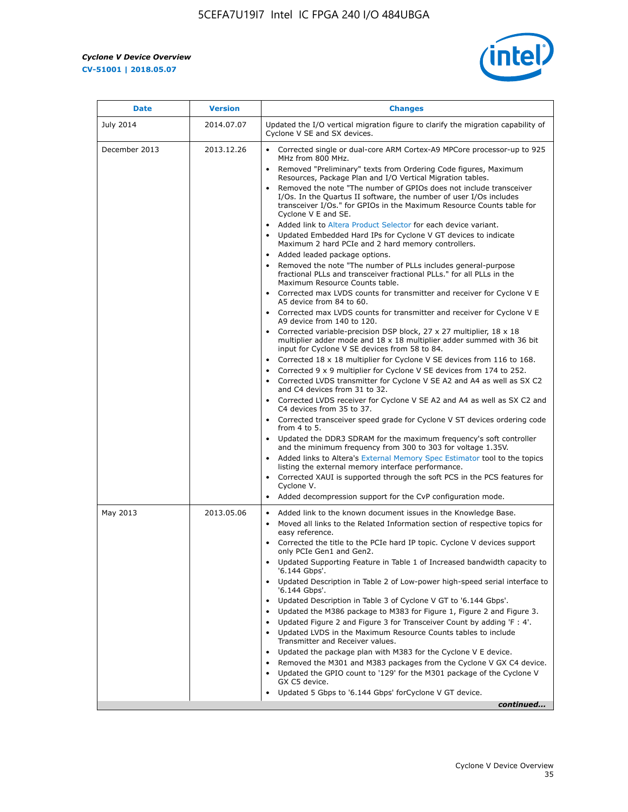r



| <b>Date</b>   | <b>Version</b> | <b>Changes</b>                                                                                                                                                                                                                                                                                                                                                                                                                                                                                                                                                                                                                                                                                                                                                                                                                                                                                                                                                                                                                                                                                                                                                                                                                                                                                                                                                                                                                                      |
|---------------|----------------|-----------------------------------------------------------------------------------------------------------------------------------------------------------------------------------------------------------------------------------------------------------------------------------------------------------------------------------------------------------------------------------------------------------------------------------------------------------------------------------------------------------------------------------------------------------------------------------------------------------------------------------------------------------------------------------------------------------------------------------------------------------------------------------------------------------------------------------------------------------------------------------------------------------------------------------------------------------------------------------------------------------------------------------------------------------------------------------------------------------------------------------------------------------------------------------------------------------------------------------------------------------------------------------------------------------------------------------------------------------------------------------------------------------------------------------------------------|
| July 2014     | 2014.07.07     | Updated the I/O vertical migration figure to clarify the migration capability of<br>Cyclone V SE and SX devices.                                                                                                                                                                                                                                                                                                                                                                                                                                                                                                                                                                                                                                                                                                                                                                                                                                                                                                                                                                                                                                                                                                                                                                                                                                                                                                                                    |
| December 2013 | 2013.12.26     | • Corrected single or dual-core ARM Cortex-A9 MPCore processor-up to 925<br>MHz from 800 MHz.<br>Removed "Preliminary" texts from Ordering Code figures, Maximum<br>$\bullet$<br>Resources, Package Plan and I/O Vertical Migration tables.<br>Removed the note "The number of GPIOs does not include transceiver<br>I/Os. In the Quartus II software, the number of user I/Os includes<br>transceiver I/Os." for GPIOs in the Maximum Resource Counts table for<br>Cyclone V E and SE.<br>Added link to Altera Product Selector for each device variant.<br>• Updated Embedded Hard IPs for Cyclone V GT devices to indicate<br>Maximum 2 hard PCIe and 2 hard memory controllers.<br>• Added leaded package options.<br>Removed the note "The number of PLLs includes general-purpose                                                                                                                                                                                                                                                                                                                                                                                                                                                                                                                                                                                                                                                             |
|               |                | fractional PLLs and transceiver fractional PLLs." for all PLLs in the<br>Maximum Resource Counts table.<br>• Corrected max LVDS counts for transmitter and receiver for Cyclone V E<br>A5 device from 84 to 60.<br>• Corrected max LVDS counts for transmitter and receiver for Cyclone V E<br>A9 device from 140 to 120.<br>Corrected variable-precision DSP block, 27 x 27 multiplier, 18 x 18<br>multiplier adder mode and $18 \times 18$ multiplier adder summed with 36 bit<br>input for Cyclone V SE devices from 58 to 84.<br>Corrected 18 x 18 multiplier for Cyclone V SE devices from 116 to 168.<br>Corrected 9 x 9 multiplier for Cyclone V SE devices from 174 to 252.<br>Corrected LVDS transmitter for Cyclone V SE A2 and A4 as well as SX C2<br>and C4 devices from 31 to 32.<br>• Corrected LVDS receiver for Cyclone V SE A2 and A4 as well as SX C2 and<br>C4 devices from 35 to 37.<br>• Corrected transceiver speed grade for Cyclone V ST devices ordering code<br>from $4$ to $5$ .<br>• Updated the DDR3 SDRAM for the maximum frequency's soft controller<br>and the minimum frequency from 300 to 303 for voltage 1.35V.<br>• Added links to Altera's External Memory Spec Estimator tool to the topics<br>listing the external memory interface performance.<br>• Corrected XAUI is supported through the soft PCS in the PCS features for<br>Cyclone V.<br>Added decompression support for the CvP configuration mode. |
| May 2013      | 2013.05.06     | Added link to the known document issues in the Knowledge Base.<br>$\bullet$<br>Moved all links to the Related Information section of respective topics for<br>$\bullet$<br>easy reference.<br>• Corrected the title to the PCIe hard IP topic. Cyclone V devices support<br>only PCIe Gen1 and Gen2.<br>Updated Supporting Feature in Table 1 of Increased bandwidth capacity to<br>$\bullet$<br>'6.144 Gbps'.<br>Updated Description in Table 2 of Low-power high-speed serial interface to<br>'6.144 Gbps'.<br>Updated Description in Table 3 of Cyclone V GT to '6.144 Gbps'.<br>Updated the M386 package to M383 for Figure 1, Figure 2 and Figure 3.<br>$\bullet$<br>Updated Figure 2 and Figure 3 for Transceiver Count by adding 'F : 4'.<br>$\bullet$<br>Updated LVDS in the Maximum Resource Counts tables to include<br>Transmitter and Receiver values.<br>Updated the package plan with M383 for the Cyclone V E device.<br>$\bullet$<br>Removed the M301 and M383 packages from the Cyclone V GX C4 device.<br>Updated the GPIO count to '129' for the M301 package of the Cyclone V<br>GX C5 device.<br>Updated 5 Gbps to '6.144 Gbps' for Cyclone V GT device.<br>continued                                                                                                                                                                                                                                                          |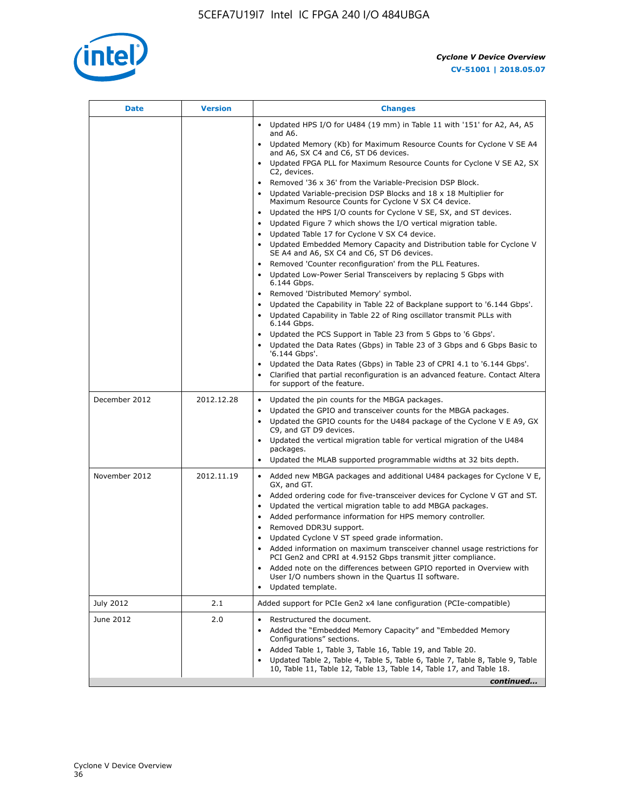

| <b>Date</b>   | <b>Version</b> | <b>Changes</b>                                                                                                                                                                                                                                                                                                                                                                                                                                                                             |
|---------------|----------------|--------------------------------------------------------------------------------------------------------------------------------------------------------------------------------------------------------------------------------------------------------------------------------------------------------------------------------------------------------------------------------------------------------------------------------------------------------------------------------------------|
|               |                | Updated HPS I/O for U484 (19 mm) in Table 11 with '151' for A2, A4, A5<br>and A6.                                                                                                                                                                                                                                                                                                                                                                                                          |
|               |                | • Updated Memory (Kb) for Maximum Resource Counts for Cyclone V SE A4<br>and A6, SX C4 and C6, ST D6 devices.                                                                                                                                                                                                                                                                                                                                                                              |
|               |                | Updated FPGA PLL for Maximum Resource Counts for Cyclone V SE A2, SX<br>C2, devices.                                                                                                                                                                                                                                                                                                                                                                                                       |
|               |                | Removed '36 x 36' from the Variable-Precision DSP Block.<br>$\bullet$<br>Updated Variable-precision DSP Blocks and $18 \times 18$ Multiplier for<br>Maximum Resource Counts for Cyclone V SX C4 device.                                                                                                                                                                                                                                                                                    |
|               |                | Updated the HPS I/O counts for Cyclone V SE, SX, and ST devices.<br>$\bullet$<br>Updated Figure 7 which shows the I/O vertical migration table.<br>Updated Table 17 for Cyclone V SX C4 device.<br>$\bullet$                                                                                                                                                                                                                                                                               |
|               |                | • Updated Embedded Memory Capacity and Distribution table for Cyclone V<br>SE A4 and A6, SX C4 and C6, ST D6 devices.<br>Removed 'Counter reconfiguration' from the PLL Features.                                                                                                                                                                                                                                                                                                          |
|               |                | Updated Low-Power Serial Transceivers by replacing 5 Gbps with<br>6.144 Gbps.                                                                                                                                                                                                                                                                                                                                                                                                              |
|               |                | Removed 'Distributed Memory' symbol.<br>Updated the Capability in Table 22 of Backplane support to '6.144 Gbps'.<br>Updated Capability in Table 22 of Ring oscillator transmit PLLs with<br>$\bullet$<br>6.144 Gbps.<br>Updated the PCS Support in Table 23 from 5 Gbps to '6 Gbps'.<br>Updated the Data Rates (Gbps) in Table 23 of 3 Gbps and 6 Gbps Basic to<br>$\bullet$                                                                                                               |
|               |                | '6.144 Gbps'.<br>Updated the Data Rates (Gbps) in Table 23 of CPRI 4.1 to '6.144 Gbps'.<br>Clarified that partial reconfiguration is an advanced feature. Contact Altera<br>for support of the feature.                                                                                                                                                                                                                                                                                    |
| December 2012 | 2012.12.28     | Updated the pin counts for the MBGA packages.<br>$\bullet$<br>Updated the GPIO and transceiver counts for the MBGA packages.<br>$\bullet$<br>Updated the GPIO counts for the U484 package of the Cyclone V E A9, GX<br>C9, and GT D9 devices.                                                                                                                                                                                                                                              |
|               |                | Updated the vertical migration table for vertical migration of the U484<br>packages.<br>Updated the MLAB supported programmable widths at 32 bits depth.                                                                                                                                                                                                                                                                                                                                   |
| November 2012 | 2012.11.19     | • Added new MBGA packages and additional U484 packages for Cyclone V E,<br>GX, and GT.<br>Added ordering code for five-transceiver devices for Cyclone V GT and ST.<br>Updated the vertical migration table to add MBGA packages.<br>$\bullet$<br>Added performance information for HPS memory controller.<br>$\bullet$<br>Removed DDR3U support.<br>$\bullet$<br>Updated Cyclone V ST speed grade information.<br>Added information on maximum transceiver channel usage restrictions for |
|               |                | PCI Gen2 and CPRI at 4.9152 Gbps transmit jitter compliance.<br>Added note on the differences between GPIO reported in Overview with<br>User I/O numbers shown in the Quartus II software.<br>Updated template.                                                                                                                                                                                                                                                                            |
| July 2012     | 2.1            | Added support for PCIe Gen2 x4 lane configuration (PCIe-compatible)                                                                                                                                                                                                                                                                                                                                                                                                                        |
| June 2012     | 2.0            | Restructured the document.<br>Added the "Embedded Memory Capacity" and "Embedded Memory<br>Configurations" sections.<br>Added Table 1, Table 3, Table 16, Table 19, and Table 20.<br>Updated Table 2, Table 4, Table 5, Table 6, Table 7, Table 8, Table 9, Table<br>10, Table 11, Table 12, Table 13, Table 14, Table 17, and Table 18.                                                                                                                                                   |
|               |                | continued                                                                                                                                                                                                                                                                                                                                                                                                                                                                                  |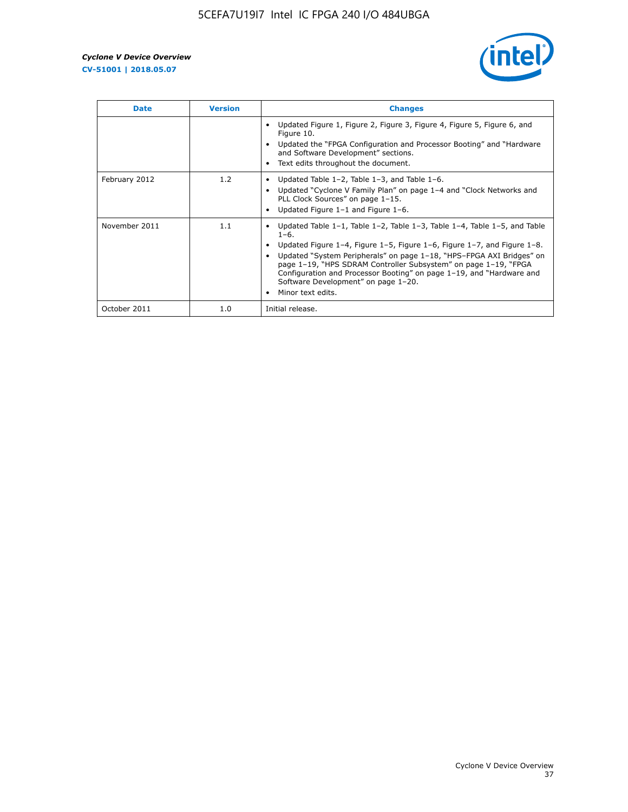

| <b>Date</b>   | <b>Version</b> | <b>Changes</b>                                                                                                                                                                                                                                                                                                                                                                                                                                                |
|---------------|----------------|---------------------------------------------------------------------------------------------------------------------------------------------------------------------------------------------------------------------------------------------------------------------------------------------------------------------------------------------------------------------------------------------------------------------------------------------------------------|
|               |                | Updated Figure 1, Figure 2, Figure 3, Figure 4, Figure 5, Figure 6, and<br>Figure 10.<br>Updated the "FPGA Configuration and Processor Booting" and "Hardware"<br>and Software Development" sections.<br>Text edits throughout the document.                                                                                                                                                                                                                  |
| February 2012 | 1.2            | Updated Table $1-2$ , Table $1-3$ , and Table $1-6$ .<br>Updated "Cyclone V Family Plan" on page 1-4 and "Clock Networks and<br>PLL Clock Sources" on page 1-15.<br>Updated Figure $1-1$ and Figure $1-6$ .                                                                                                                                                                                                                                                   |
| November 2011 | 1.1            | Updated Table $1-1$ , Table $1-2$ , Table $1-3$ , Table $1-4$ , Table $1-5$ , and Table<br>$1 - 6.$<br>Updated Figure 1-4, Figure 1-5, Figure 1-6, Figure 1-7, and Figure 1-8.<br>Updated "System Peripherals" on page 1-18, "HPS-FPGA AXI Bridges" on<br>page 1-19, "HPS SDRAM Controller Subsystem" on page 1-19, "FPGA<br>Configuration and Processor Booting" on page 1-19, and "Hardware and<br>Software Development" on page 1-20.<br>Minor text edits. |
| October 2011  | 1.0            | Initial release.                                                                                                                                                                                                                                                                                                                                                                                                                                              |